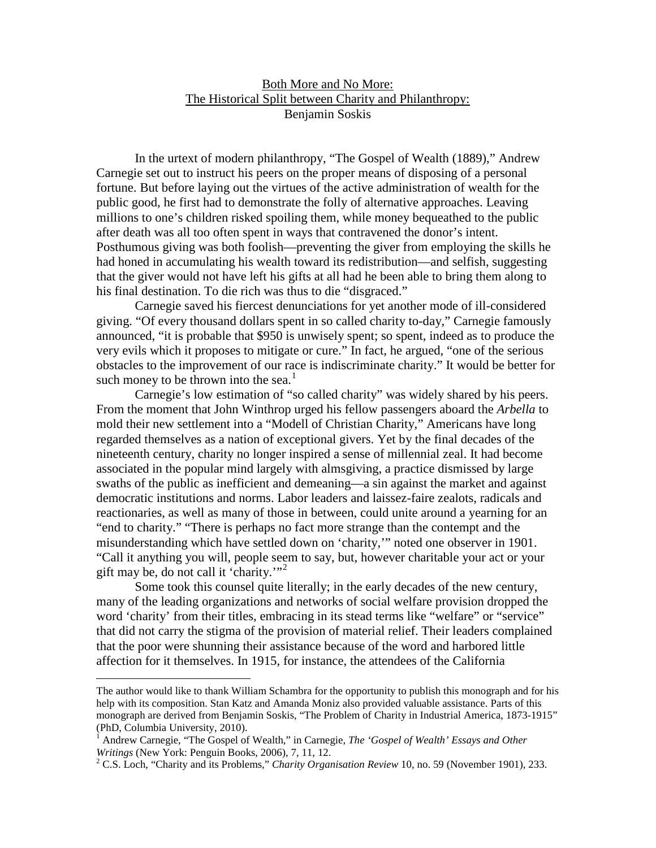# Both More and No More: The Historical Split between Charity and Philanthropy: Benjamin Soskis

In the urtext of modern philanthropy, "The Gospel of Wealth (1889)," Andrew Carnegie set out to instruct his peers on the proper means of disposing of a personal fortune. But before laying out the virtues of the active administration of wealth for the public good, he first had to demonstrate the folly of alternative approaches. Leaving millions to one's children risked spoiling them, while money bequeathed to the public after death was all too often spent in ways that contravened the donor's intent. Posthumous giving was both foolish—preventing the giver from employing the skills he had honed in accumulating his wealth toward its redistribution—and selfish, suggesting that the giver would not have left his gifts at all had he been able to bring them along to his final destination. To die rich was thus to die "disgraced."

Carnegie saved his fiercest denunciations for yet another mode of ill-considered giving. "Of every thousand dollars spent in so called charity to-day," Carnegie famously announced, "it is probable that \$950 is unwisely spent; so spent, indeed as to produce the very evils which it proposes to mitigate or cure." In fact, he argued, "one of the serious obstacles to the improvement of our race is indiscriminate charity." It would be better for such money to be thrown into the sea.<sup>[1](#page-0-0)</sup>

Carnegie's low estimation of "so called charity" was widely shared by his peers. From the moment that John Winthrop urged his fellow passengers aboard the *Arbella* to mold their new settlement into a "Modell of Christian Charity," Americans have long regarded themselves as a nation of exceptional givers. Yet by the final decades of the nineteenth century, charity no longer inspired a sense of millennial zeal. It had become associated in the popular mind largely with almsgiving, a practice dismissed by large swaths of the public as inefficient and demeaning—a sin against the market and against democratic institutions and norms. Labor leaders and laissez-faire zealots, radicals and reactionaries, as well as many of those in between, could unite around a yearning for an "end to charity." "There is perhaps no fact more strange than the contempt and the misunderstanding which have settled down on 'charity,'" noted one observer in 1901. "Call it anything you will, people seem to say, but, however charitable your act or your gift may be, do not call it 'charity.'"<sup>[2](#page-0-1)</sup>

Some took this counsel quite literally; in the early decades of the new century, many of the leading organizations and networks of social welfare provision dropped the word 'charity' from their titles, embracing in its stead terms like "welfare" or "service" that did not carry the stigma of the provision of material relief. Their leaders complained that the poor were shunning their assistance because of the word and harbored little affection for it themselves. In 1915, for instance, the attendees of the California

<span id="page-0-0"></span>The author would like to thank William Schambra for the opportunity to publish this monograph and for his help with its composition. Stan Katz and Amanda Moniz also provided valuable assistance. Parts of this monograph are derived from Benjamin Soskis, "The Problem of Charity in Industrial America, 1873-1915" (PhD, Columbia University, 2010).

<span id="page-0-1"></span><sup>&</sup>lt;sup>1</sup> Andrew Carnegie, "The Gospel of Wealth," in Carnegie, *The 'Gospel of Wealth' Essays and Other Writings (New York: Penguin Books, 2006), 7, 11, 12.* 

<sup>&</sup>lt;sup>2</sup> C.S. Loch, "Charity and its Problems," *Charity Organisation Review* 10, no. 59 (November 1901), 233.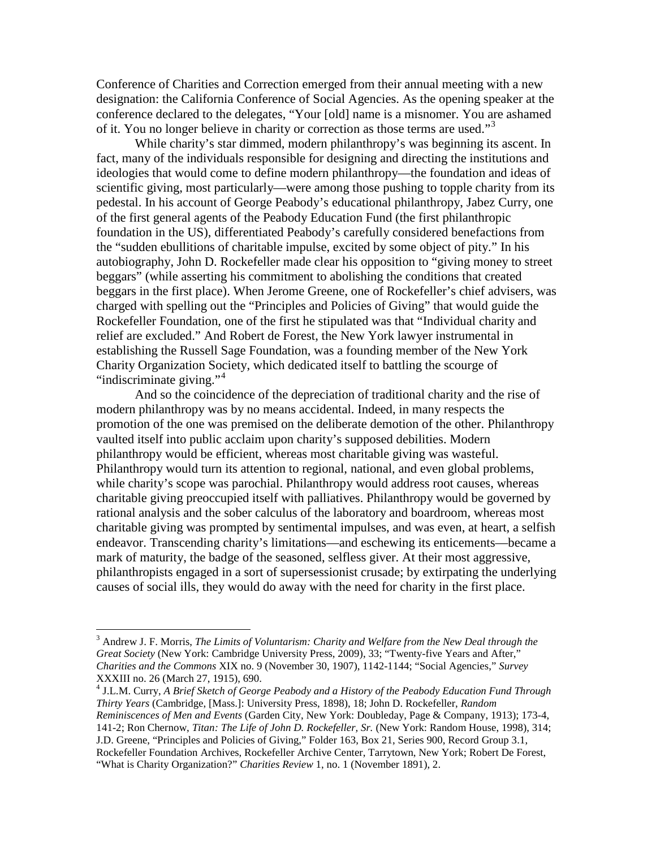Conference of Charities and Correction emerged from their annual meeting with a new designation: the California Conference of Social Agencies. As the opening speaker at the conference declared to the delegates, "Your [old] name is a misnomer. You are ashamed of it. You no longer believe in charity or correction as those terms are used."<sup>[3](#page-1-0)</sup>

While charity's star dimmed, modern philanthropy's was beginning its ascent. In fact, many of the individuals responsible for designing and directing the institutions and ideologies that would come to define modern philanthropy—the foundation and ideas of scientific giving, most particularly—were among those pushing to topple charity from its pedestal. In his account of George Peabody's educational philanthropy, Jabez Curry, one of the first general agents of the Peabody Education Fund (the first philanthropic foundation in the US), differentiated Peabody's carefully considered benefactions from the "sudden ebullitions of charitable impulse, excited by some object of pity." In his autobiography, John D. Rockefeller made clear his opposition to "giving money to street beggars" (while asserting his commitment to abolishing the conditions that created beggars in the first place). When Jerome Greene, one of Rockefeller's chief advisers, was charged with spelling out the "Principles and Policies of Giving" that would guide the Rockefeller Foundation, one of the first he stipulated was that "Individual charity and relief are excluded." And Robert de Forest, the New York lawyer instrumental in establishing the Russell Sage Foundation, was a founding member of the New York Charity Organization Society, which dedicated itself to battling the scourge of "indiscriminate giving."<sup>[4](#page-1-1)</sup>

And so the coincidence of the depreciation of traditional charity and the rise of modern philanthropy was by no means accidental. Indeed, in many respects the promotion of the one was premised on the deliberate demotion of the other. Philanthropy vaulted itself into public acclaim upon charity's supposed debilities. Modern philanthropy would be efficient, whereas most charitable giving was wasteful. Philanthropy would turn its attention to regional, national, and even global problems, while charity's scope was parochial. Philanthropy would address root causes, whereas charitable giving preoccupied itself with palliatives. Philanthropy would be governed by rational analysis and the sober calculus of the laboratory and boardroom, whereas most charitable giving was prompted by sentimental impulses, and was even, at heart, a selfish endeavor. Transcending charity's limitations—and eschewing its enticements—became a mark of maturity, the badge of the seasoned, selfless giver. At their most aggressive, philanthropists engaged in a sort of supersessionist crusade; by extirpating the underlying causes of social ills, they would do away with the need for charity in the first place.

<span id="page-1-1"></span><sup>4</sup> J.L.M. Curry, *A Brief Sketch of George Peabody and a History of the Peabody Education Fund Through Thirty Years* (Cambridge, [Mass.]: University Press, 1898), 18; John D. Rockefeller, *Random Reminiscences of Men and Events* (Garden City, New York: Doubleday, Page & Company, 1913); 173-4,

- 141-2; Ron Chernow, *Titan: The Life of John D. Rockefeller, Sr.* (New York: Random House, 1998), 314; J.D. Greene, "Principles and Policies of Giving," Folder 163, Box 21, Series 900, Record Group 3.1,
- Rockefeller Foundation Archives, Rockefeller Archive Center, Tarrytown, New York; Robert De Forest, "What is Charity Organization?" *Charities Review* 1, no. 1 (November 1891), 2.

<span id="page-1-0"></span> <sup>3</sup> Andrew J. F. Morris, *The Limits of Voluntarism: Charity and Welfare from the New Deal through the Great Society* (New York: Cambridge University Press, 2009), 33; "Twenty-five Years and After," *Charities and the Commons* XIX no. 9 (November 30, 1907), 1142-1144; "Social Agencies," *Survey* XXXIII no. 26 (March 27, 1915), 690.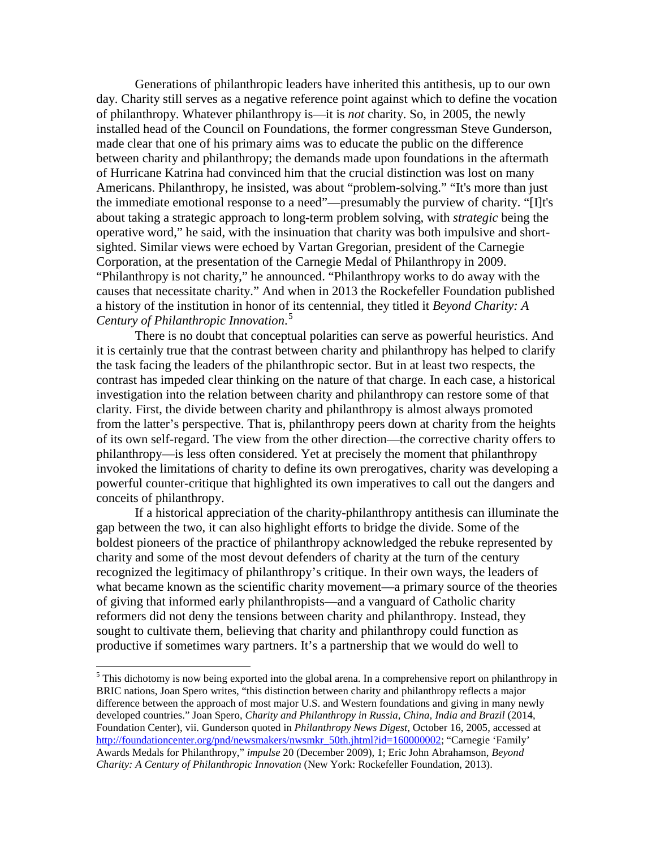Generations of philanthropic leaders have inherited this antithesis, up to our own day. Charity still serves as a negative reference point against which to define the vocation of philanthropy. Whatever philanthropy is—it is *not* charity. So, in 2005, the newly installed head of the Council on Foundations, the former congressman Steve Gunderson, made clear that one of his primary aims was to educate the public on the difference between charity and philanthropy; the demands made upon foundations in the aftermath of Hurricane Katrina had convinced him that the crucial distinction was lost on many Americans. Philanthropy, he insisted, was about "problem-solving." "It's more than just the immediate emotional response to a need"—presumably the purview of charity. "[I]t's about taking a strategic approach to long-term problem solving, with *strategic* being the operative word," he said, with the insinuation that charity was both impulsive and shortsighted. Similar views were echoed by Vartan Gregorian, president of the Carnegie Corporation, at the presentation of the Carnegie Medal of Philanthropy in 2009. "Philanthropy is not charity," he announced. "Philanthropy works to do away with the causes that necessitate charity." And when in 2013 the Rockefeller Foundation published a history of the institution in honor of its centennial, they titled it *Beyond Charity: A Century of Philanthropic Innovation*. [5](#page-2-0)

There is no doubt that conceptual polarities can serve as powerful heuristics. And it is certainly true that the contrast between charity and philanthropy has helped to clarify the task facing the leaders of the philanthropic sector. But in at least two respects, the contrast has impeded clear thinking on the nature of that charge. In each case, a historical investigation into the relation between charity and philanthropy can restore some of that clarity. First, the divide between charity and philanthropy is almost always promoted from the latter's perspective. That is, philanthropy peers down at charity from the heights of its own self-regard. The view from the other direction—the corrective charity offers to philanthropy—is less often considered. Yet at precisely the moment that philanthropy invoked the limitations of charity to define its own prerogatives, charity was developing a powerful counter-critique that highlighted its own imperatives to call out the dangers and conceits of philanthropy.

If a historical appreciation of the charity-philanthropy antithesis can illuminate the gap between the two, it can also highlight efforts to bridge the divide. Some of the boldest pioneers of the practice of philanthropy acknowledged the rebuke represented by charity and some of the most devout defenders of charity at the turn of the century recognized the legitimacy of philanthropy's critique. In their own ways, the leaders of what became known as the scientific charity movement—a primary source of the theories of giving that informed early philanthropists—and a vanguard of Catholic charity reformers did not deny the tensions between charity and philanthropy. Instead, they sought to cultivate them, believing that charity and philanthropy could function as productive if sometimes wary partners. It's a partnership that we would do well to

<span id="page-2-0"></span> $<sup>5</sup>$  This dichotomy is now being exported into the global arena. In a comprehensive report on philanthropy in</sup> BRIC nations, Joan Spero writes, "this distinction between charity and philanthropy reflects a major difference between the approach of most major U.S. and Western foundations and giving in many newly developed countries." Joan Spero, *Charity and Philanthropy in Russia, China, India and Brazil* (2014, Foundation Center), vii. Gunderson quoted in *Philanthropy News Digest*, October 16, 2005, accessed at [http://foundationcenter.org/pnd/newsmakers/nwsmkr\\_50th.jhtml?id=160000002;](http://foundationcenter.org/pnd/newsmakers/nwsmkr_50th.jhtml?id=160000002) "Carnegie 'Family' Awards Medals for Philanthropy," *impulse* 20 (December 2009), 1; Eric John Abrahamson, *Beyond Charity: A Century of Philanthropic Innovation* (New York: Rockefeller Foundation, 2013).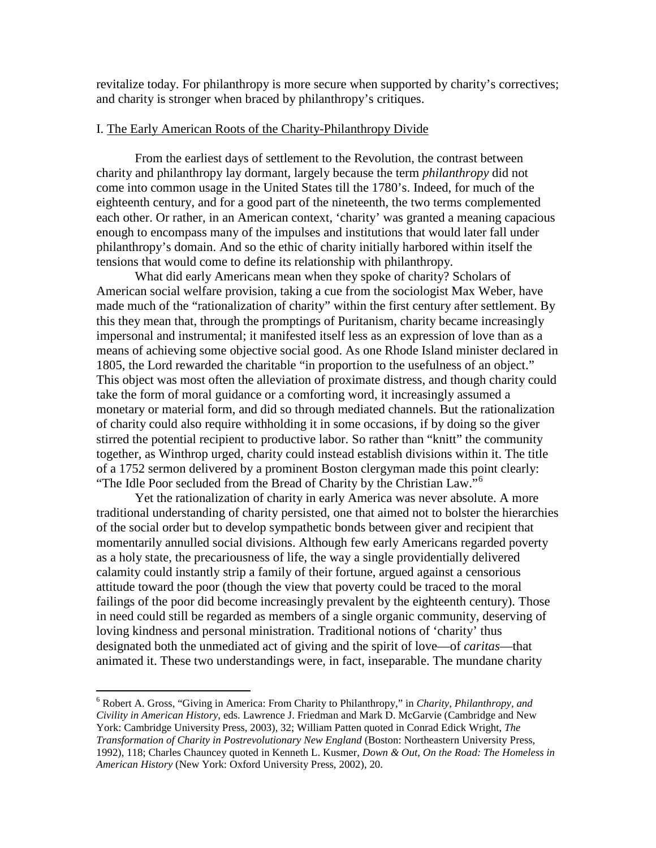revitalize today. For philanthropy is more secure when supported by charity's correctives; and charity is stronger when braced by philanthropy's critiques.

## I. The Early American Roots of the Charity-Philanthropy Divide

From the earliest days of settlement to the Revolution, the contrast between charity and philanthropy lay dormant, largely because the term *philanthropy* did not come into common usage in the United States till the 1780's. Indeed, for much of the eighteenth century, and for a good part of the nineteenth, the two terms complemented each other. Or rather, in an American context, 'charity' was granted a meaning capacious enough to encompass many of the impulses and institutions that would later fall under philanthropy's domain. And so the ethic of charity initially harbored within itself the tensions that would come to define its relationship with philanthropy.

What did early Americans mean when they spoke of charity? Scholars of American social welfare provision, taking a cue from the sociologist Max Weber, have made much of the "rationalization of charity" within the first century after settlement. By this they mean that, through the promptings of Puritanism, charity became increasingly impersonal and instrumental; it manifested itself less as an expression of love than as a means of achieving some objective social good. As one Rhode Island minister declared in 1805, the Lord rewarded the charitable "in proportion to the usefulness of an object." This object was most often the alleviation of proximate distress, and though charity could take the form of moral guidance or a comforting word, it increasingly assumed a monetary or material form, and did so through mediated channels. But the rationalization of charity could also require withholding it in some occasions, if by doing so the giver stirred the potential recipient to productive labor. So rather than "knitt" the community together, as Winthrop urged, charity could instead establish divisions within it. The title of a 1752 sermon delivered by a prominent Boston clergyman made this point clearly: "The Idle Poor secluded from the Bread of Charity by the Christian Law."<sup>[6](#page-3-0)</sup>

Yet the rationalization of charity in early America was never absolute. A more traditional understanding of charity persisted, one that aimed not to bolster the hierarchies of the social order but to develop sympathetic bonds between giver and recipient that momentarily annulled social divisions. Although few early Americans regarded poverty as a holy state, the precariousness of life, the way a single providentially delivered calamity could instantly strip a family of their fortune, argued against a censorious attitude toward the poor (though the view that poverty could be traced to the moral failings of the poor did become increasingly prevalent by the eighteenth century). Those in need could still be regarded as members of a single organic community, deserving of loving kindness and personal ministration. Traditional notions of 'charity' thus designated both the unmediated act of giving and the spirit of love—of *caritas*—that animated it. These two understandings were, in fact, inseparable. The mundane charity

<span id="page-3-0"></span> <sup>6</sup> Robert A. Gross, "Giving in America: From Charity to Philanthropy," in *Charity, Philanthropy, and Civility in American History*, eds. Lawrence J. Friedman and Mark D. McGarvie (Cambridge and New York: Cambridge University Press, 2003), 32; William Patten quoted in Conrad Edick Wright, *The Transformation of Charity in Postrevolutionary New England* (Boston: Northeastern University Press, 1992), 118; Charles Chauncey quoted in Kenneth L. Kusmer, *Down & Out, On the Road: The Homeless in American History* (New York: Oxford University Press, 2002), 20.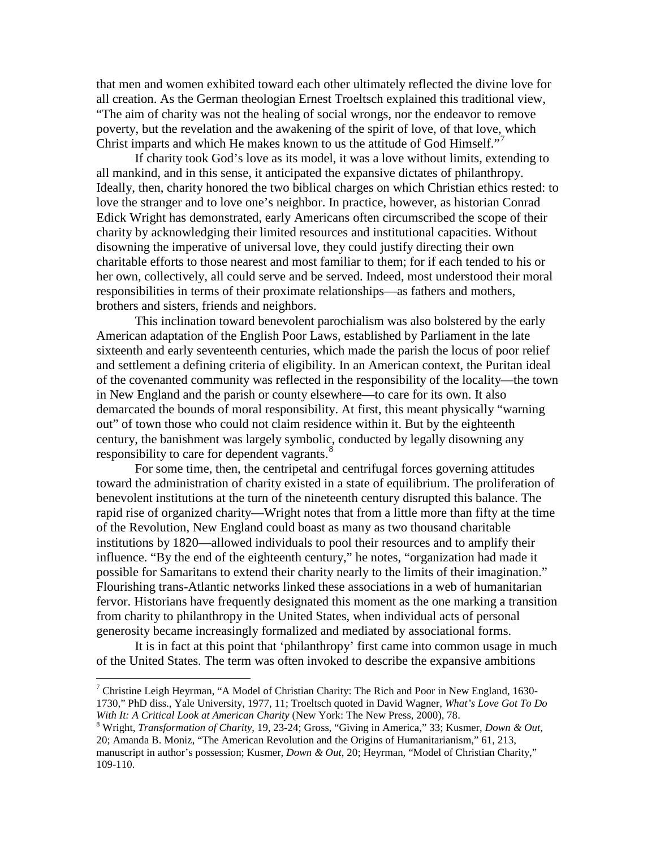that men and women exhibited toward each other ultimately reflected the divine love for all creation. As the German theologian Ernest Troeltsch explained this traditional view, "The aim of charity was not the healing of social wrongs, nor the endeavor to remove poverty, but the revelation and the awakening of the spirit of love, of that love, which Christ imparts and which He makes known to us the attitude of God Himself."

If charity took God's love as its model, it was a love without limits, extending to all mankind, and in this sense, it anticipated the expansive dictates of philanthropy. Ideally, then, charity honored the two biblical charges on which Christian ethics rested: to love the stranger and to love one's neighbor. In practice, however, as historian Conrad Edick Wright has demonstrated, early Americans often circumscribed the scope of their charity by acknowledging their limited resources and institutional capacities. Without disowning the imperative of universal love, they could justify directing their own charitable efforts to those nearest and most familiar to them; for if each tended to his or her own, collectively, all could serve and be served. Indeed, most understood their moral responsibilities in terms of their proximate relationships—as fathers and mothers, brothers and sisters, friends and neighbors.

This inclination toward benevolent parochialism was also bolstered by the early American adaptation of the English Poor Laws, established by Parliament in the late sixteenth and early seventeenth centuries, which made the parish the locus of poor relief and settlement a defining criteria of eligibility. In an American context, the Puritan ideal of the covenanted community was reflected in the responsibility of the locality—the town in New England and the parish or county elsewhere—to care for its own. It also demarcated the bounds of moral responsibility. At first, this meant physically "warning out" of town those who could not claim residence within it. But by the eighteenth century, the banishment was largely symbolic, conducted by legally disowning any responsibility to care for dependent vagrants.<sup>[8](#page-4-1)</sup>

For some time, then, the centripetal and centrifugal forces governing attitudes toward the administration of charity existed in a state of equilibrium. The proliferation of benevolent institutions at the turn of the nineteenth century disrupted this balance. The rapid rise of organized charity—Wright notes that from a little more than fifty at the time of the Revolution, New England could boast as many as two thousand charitable institutions by 1820—allowed individuals to pool their resources and to amplify their influence. "By the end of the eighteenth century," he notes, "organization had made it possible for Samaritans to extend their charity nearly to the limits of their imagination." Flourishing trans-Atlantic networks linked these associations in a web of humanitarian fervor. Historians have frequently designated this moment as the one marking a transition from charity to philanthropy in the United States, when individual acts of personal generosity became increasingly formalized and mediated by associational forms.

It is in fact at this point that 'philanthropy' first came into common usage in much of the United States. The term was often invoked to describe the expansive ambitions

<span id="page-4-0"></span><sup>&</sup>lt;sup>7</sup> Christine Leigh Heyrman, "A Model of Christian Charity: The Rich and Poor in New England, 1630-1730," PhD diss., Yale University, 1977, 11; Troeltsch quoted in David Wagner, *What's Love Got To Do* 

<span id="page-4-1"></span><sup>&</sup>lt;sup>8</sup> Wright, *Transformation of Charity*, 19, 23-24; Gross, "Giving in America," 33; Kusmer, *Down & Out*, 20; Amanda B. Moniz, "The American Revolution and the Origins of Humanitarianism," 61, 213, manuscript in author's possession; Kusmer, *Down & Out*, 20; Heyrman, "Model of Christian Charity," 109-110.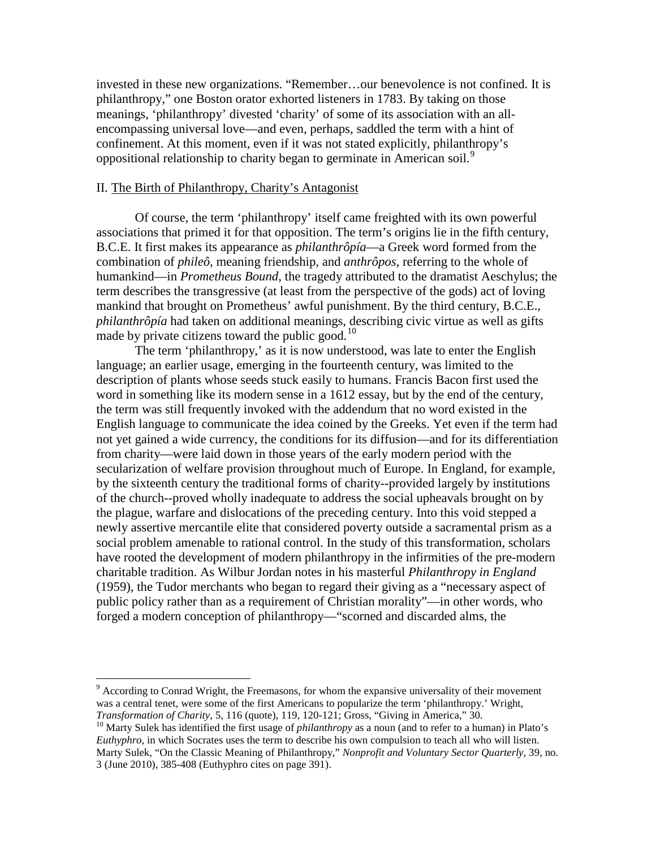invested in these new organizations. "Remember…our benevolence is not confined. It is philanthropy," one Boston orator exhorted listeners in 1783. By taking on those meanings, 'philanthropy' divested 'charity' of some of its association with an allencompassing universal love—and even, perhaps, saddled the term with a hint of confinement. At this moment, even if it was not stated explicitly, philanthropy's oppositional relationship to charity began to germinate in American soil.<sup>[9](#page-5-0)</sup>

#### II. The Birth of Philanthropy, Charity's Antagonist

Of course, the term 'philanthropy' itself came freighted with its own powerful associations that primed it for that opposition. The term's origins lie in the fifth century, B.C.E. It first makes its appearance as *philanthrôpía*—a Greek word formed from the combination of *phileô*, meaning friendship, and *anthrôpos*, referring to the whole of humankind—in *Prometheus Bound*, the tragedy attributed to the dramatist Aeschylus; the term describes the transgressive (at least from the perspective of the gods) act of loving mankind that brought on Prometheus' awful punishment. By the third century, B.C.E., *philanthrôpía* had taken on additional meanings, describing civic virtue as well as gifts made by private citizens toward the public good.<sup>[10](#page-5-1)</sup>

The term 'philanthropy,' as it is now understood, was late to enter the English language; an earlier usage, emerging in the fourteenth century, was limited to the description of plants whose seeds stuck easily to humans. Francis Bacon first used the word in something like its modern sense in a 1612 essay, but by the end of the century, the term was still frequently invoked with the addendum that no word existed in the English language to communicate the idea coined by the Greeks. Yet even if the term had not yet gained a wide currency, the conditions for its diffusion—and for its differentiation from charity—were laid down in those years of the early modern period with the secularization of welfare provision throughout much of Europe. In England, for example, by the sixteenth century the traditional forms of charity--provided largely by institutions of the church--proved wholly inadequate to address the social upheavals brought on by the plague, warfare and dislocations of the preceding century. Into this void stepped a newly assertive mercantile elite that considered poverty outside a sacramental prism as a social problem amenable to rational control. In the study of this transformation, scholars have rooted the development of modern philanthropy in the infirmities of the pre-modern charitable tradition. As Wilbur Jordan notes in his masterful *Philanthropy in England* (1959), the Tudor merchants who began to regard their giving as a "necessary aspect of public policy rather than as a requirement of Christian morality"—in other words, who forged a modern conception of philanthropy—"scorned and discarded alms, the

<span id="page-5-0"></span> $9$  According to Conrad Wright, the Freemasons, for whom the expansive universality of their movement was a central tenet, were some of the first Americans to popularize the term 'philanthropy.' Wright, *Transformation of Charity*, 5, 116 (quote), 119, 120-121; Gross, "Giving in America," 30.

<span id="page-5-1"></span><sup>&</sup>lt;sup>10</sup> Marty Sulek has identified the first usage of *philanthropy* as a noun (and to refer to a human) in Plato's *Euthyphro*, in which Socrates uses the term to describe his own compulsion to teach all who will listen. Marty Sulek, "On the Classic Meaning of Philanthropy," *Nonprofit and Voluntary Sector Quarterly*, 39, no. 3 (June 2010), 385-408 (Euthyphro cites on page 391).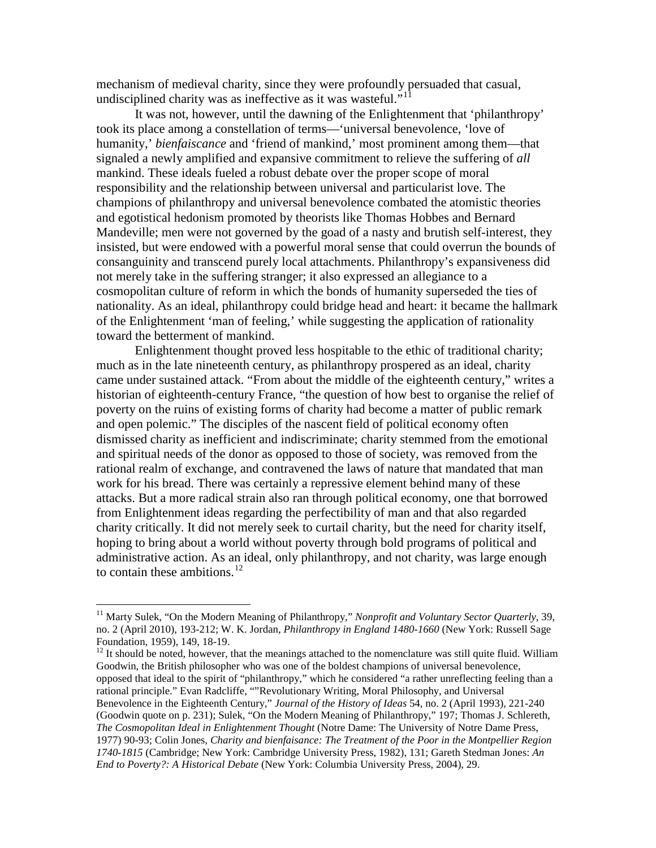mechanism of medieval charity, since they were profoundly persuaded that casual, undisciplined charity was as ineffective as it was wasteful."<sup>[11](#page-6-0)</sup>

It was not, however, until the dawning of the Enlightenment that 'philanthropy' took its place among a constellation of terms—'universal benevolence, 'love of humanity,' *bienfaiscance* and 'friend of mankind,' most prominent among them—that signaled a newly amplified and expansive commitment to relieve the suffering of *all* mankind. These ideals fueled a robust debate over the proper scope of moral responsibility and the relationship between universal and particularist love. The champions of philanthropy and universal benevolence combated the atomistic theories and egotistical hedonism promoted by theorists like Thomas Hobbes and Bernard Mandeville; men were not governed by the goad of a nasty and brutish self-interest, they insisted, but were endowed with a powerful moral sense that could overrun the bounds of consanguinity and transcend purely local attachments. Philanthropy's expansiveness did not merely take in the suffering stranger; it also expressed an allegiance to a cosmopolitan culture of reform in which the bonds of humanity superseded the ties of nationality. As an ideal, philanthropy could bridge head and heart: it became the hallmark of the Enlightenment 'man of feeling,' while suggesting the application of rationality toward the betterment of mankind.

Enlightenment thought proved less hospitable to the ethic of traditional charity; much as in the late nineteenth century, as philanthropy prospered as an ideal, charity came under sustained attack. "From about the middle of the eighteenth century," writes a historian of eighteenth-century France, "the question of how best to organise the relief of poverty on the ruins of existing forms of charity had become a matter of public remark and open polemic." The disciples of the nascent field of political economy often dismissed charity as inefficient and indiscriminate; charity stemmed from the emotional and spiritual needs of the donor as opposed to those of society, was removed from the rational realm of exchange, and contravened the laws of nature that mandated that man work for his bread. There was certainly a repressive element behind many of these attacks. But a more radical strain also ran through political economy, one that borrowed from Enlightenment ideas regarding the perfectibility of man and that also regarded charity critically. It did not merely seek to curtail charity, but the need for charity itself, hoping to bring about a world without poverty through bold programs of political and administrative action. As an ideal, only philanthropy, and not charity, was large enough to contain these ambitions. $12$ 

<span id="page-6-1"></span><span id="page-6-0"></span> $<sup>12</sup>$  It should be noted, however, that the meanings attached to the nomenclature was still quite fluid. William</sup> Goodwin, the British philosopher who was one of the boldest champions of universal benevolence, opposed that ideal to the spirit of "philanthropy," which he considered "a rather unreflecting feeling than a rational principle." Evan Radcliffe, ""Revolutionary Writing, Moral Philosophy, and Universal Benevolence in the Eighteenth Century," *Journal of the History of Ideas* 54, no. 2 (April 1993), 221-240 (Goodwin quote on p. 231); Sulek, "On the Modern Meaning of Philanthropy," 197; Thomas J. Schlereth, *The Cosmopolitan Ideal in Enlightenment Thought* (Notre Dame: The University of Notre Dame Press, 1977) 90-93; Colin Jones, *Charity and bienfaisance: The Treatment of the Poor in the Montpellier Region 1740-1815* (Cambridge; New York: Cambridge University Press, 1982), 131; Gareth Stedman Jones: *An End to Poverty?: A Historical Debate* (New York: Columbia University Press, 2004), 29.

<sup>&</sup>lt;sup>11</sup> Marty Sulek, "On the Modern Meaning of Philanthropy," *Nonprofit and Voluntary Sector Quarterly*, 39, no. 2 (April 2010), 193-212; W. K. Jordan, *Philanthropy in England 1480-1660* (New York: Russell Sage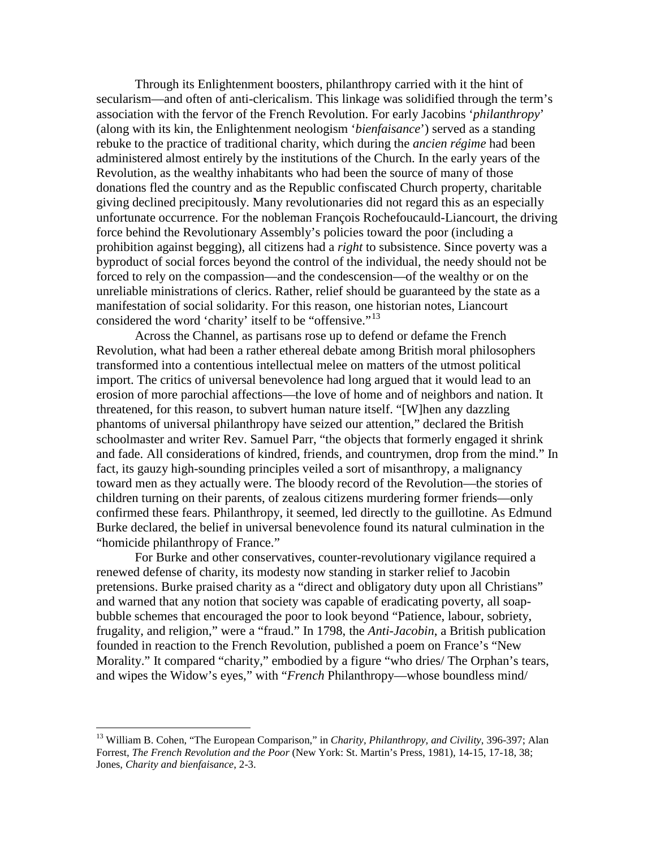Through its Enlightenment boosters, philanthropy carried with it the hint of secularism—and often of anti-clericalism. This linkage was solidified through the term's association with the fervor of the French Revolution. For early Jacobins '*philanthropy*' (along with its kin, the Enlightenment neologism '*bienfaisance*') served as a standing rebuke to the practice of traditional charity, which during the *ancien régime* had been administered almost entirely by the institutions of the Church. In the early years of the Revolution, as the wealthy inhabitants who had been the source of many of those donations fled the country and as the Republic confiscated Church property, charitable giving declined precipitously. Many revolutionaries did not regard this as an especially unfortunate occurrence. For the nobleman François Rochefoucauld-Liancourt, the driving force behind the Revolutionary Assembly's policies toward the poor (including a prohibition against begging), all citizens had a *right* to subsistence. Since poverty was a byproduct of social forces beyond the control of the individual, the needy should not be forced to rely on the compassion—and the condescension—of the wealthy or on the unreliable ministrations of clerics. Rather, relief should be guaranteed by the state as a manifestation of social solidarity. For this reason, one historian notes, Liancourt considered the word 'charity' itself to be "offensive."[13](#page-7-0)

Across the Channel, as partisans rose up to defend or defame the French Revolution, what had been a rather ethereal debate among British moral philosophers transformed into a contentious intellectual melee on matters of the utmost political import. The critics of universal benevolence had long argued that it would lead to an erosion of more parochial affections—the love of home and of neighbors and nation. It threatened, for this reason, to subvert human nature itself. "[W]hen any dazzling phantoms of universal philanthropy have seized our attention," declared the British schoolmaster and writer Rev. Samuel Parr, "the objects that formerly engaged it shrink and fade. All considerations of kindred, friends, and countrymen, drop from the mind." In fact, its gauzy high-sounding principles veiled a sort of misanthropy, a malignancy toward men as they actually were. The bloody record of the Revolution—the stories of children turning on their parents, of zealous citizens murdering former friends—only confirmed these fears. Philanthropy, it seemed, led directly to the guillotine. As Edmund Burke declared, the belief in universal benevolence found its natural culmination in the "homicide philanthropy of France."

For Burke and other conservatives, counter-revolutionary vigilance required a renewed defense of charity, its modesty now standing in starker relief to Jacobin pretensions. Burke praised charity as a "direct and obligatory duty upon all Christians" and warned that any notion that society was capable of eradicating poverty, all soapbubble schemes that encouraged the poor to look beyond "Patience, labour, sobriety, frugality, and religion," were a "fraud." In 1798, the *Anti-Jacobin*, a British publication founded in reaction to the French Revolution, published a poem on France's "New Morality." It compared "charity," embodied by a figure "who dries/ The Orphan's tears, and wipes the Widow's eyes," with "*French* Philanthropy—whose boundless mind/

<span id="page-7-0"></span> <sup>13</sup> William B. Cohen, "The European Comparison," in *Charity, Philanthropy, and Civility*, 396-397; Alan Forrest, *The French Revolution and the Poor* (New York: St. Martin's Press, 1981), 14-15, 17-18, 38; Jones, *Charity and bienfaisance*, 2-3.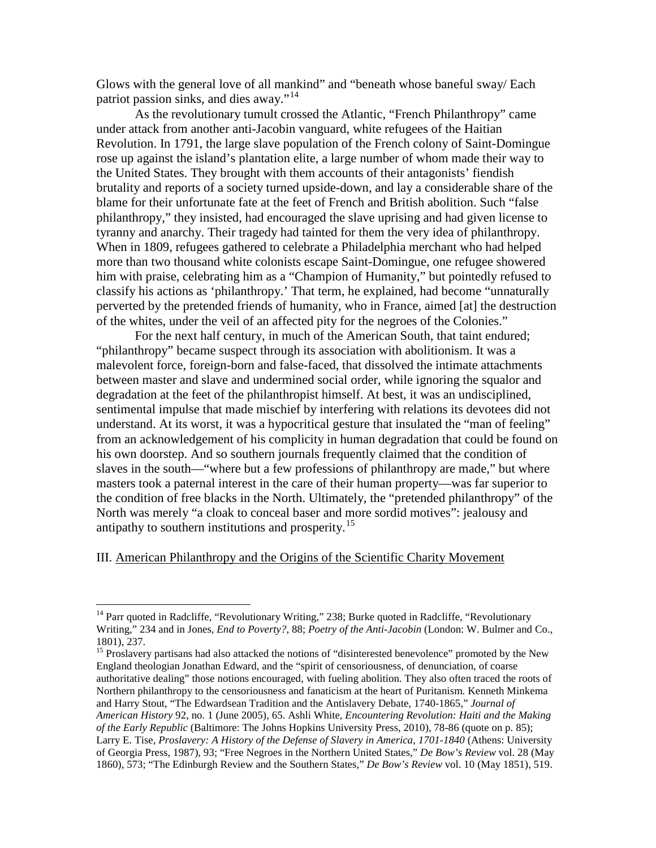Glows with the general love of all mankind" and "beneath whose baneful sway/ Each patriot passion sinks, and dies away."<sup>[14](#page-8-0)</sup>

As the revolutionary tumult crossed the Atlantic, "French Philanthropy" came under attack from another anti-Jacobin vanguard, white refugees of the Haitian Revolution. In 1791, the large slave population of the French colony of Saint-Domingue rose up against the island's plantation elite, a large number of whom made their way to the United States. They brought with them accounts of their antagonists' fiendish brutality and reports of a society turned upside-down, and lay a considerable share of the blame for their unfortunate fate at the feet of French and British abolition. Such "false philanthropy," they insisted, had encouraged the slave uprising and had given license to tyranny and anarchy. Their tragedy had tainted for them the very idea of philanthropy. When in 1809, refugees gathered to celebrate a Philadelphia merchant who had helped more than two thousand white colonists escape Saint-Domingue, one refugee showered him with praise, celebrating him as a "Champion of Humanity," but pointedly refused to classify his actions as 'philanthropy.' That term, he explained, had become "unnaturally perverted by the pretended friends of humanity, who in France, aimed [at] the destruction of the whites, under the veil of an affected pity for the negroes of the Colonies."

For the next half century, in much of the American South, that taint endured; "philanthropy" became suspect through its association with abolitionism. It was a malevolent force, foreign-born and false-faced, that dissolved the intimate attachments between master and slave and undermined social order, while ignoring the squalor and degradation at the feet of the philanthropist himself. At best, it was an undisciplined, sentimental impulse that made mischief by interfering with relations its devotees did not understand. At its worst, it was a hypocritical gesture that insulated the "man of feeling" from an acknowledgement of his complicity in human degradation that could be found on his own doorstep. And so southern journals frequently claimed that the condition of slaves in the south—"where but a few professions of philanthropy are made," but where masters took a paternal interest in the care of their human property—was far superior to the condition of free blacks in the North. Ultimately, the "pretended philanthropy" of the North was merely "a cloak to conceal baser and more sordid motives": jealousy and antipathy to southern institutions and prosperity.<sup>[15](#page-8-1)</sup>

### III. American Philanthropy and the Origins of the Scientific Charity Movement

<span id="page-8-1"></span><sup>15</sup> Proslavery partisans had also attacked the notions of "disinterested benevolence" promoted by the New England theologian Jonathan Edward, and the "spirit of censoriousness, of denunciation, of coarse authoritative dealing" those notions encouraged, with fueling abolition. They also often traced the roots of Northern philanthropy to the censoriousness and fanaticism at the heart of Puritanism. Kenneth Minkema and Harry Stout, "The Edwardsean Tradition and the Antislavery Debate, 1740-1865," *Journal of American History* 92, no. 1 (June 2005), 65. Ashli White, *Encountering Revolution: Haiti and the Making of the Early Republic* (Baltimore: The Johns Hopkins University Press, 2010), 78-86 (quote on p. 85); Larry E. Tise, *Proslavery: A History of the Defense of Slavery in America, 1701-1840* (Athens: University of Georgia Press, 1987), 93; "Free Negroes in the Northern United States," *De Bow's Review* vol. 28 (May 1860), 573; "The Edinburgh Review and the Southern States," *De Bow's Review* vol. 10 (May 1851), 519.

<span id="page-8-0"></span><sup>&</sup>lt;sup>14</sup> Parr quoted in Radcliffe, "Revolutionary Writing," 238; Burke quoted in Radcliffe, "Revolutionary Writing," 234 and in Jones, *End to Poverty?*, 88; *Poetry of the Anti-Jacobin* (London: W. Bulmer and Co., 1801), 237.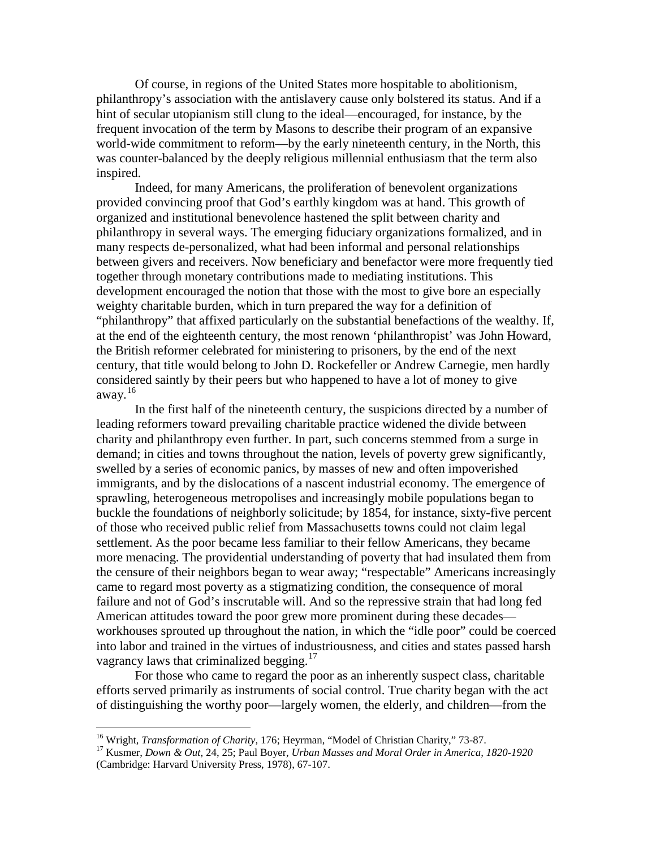Of course, in regions of the United States more hospitable to abolitionism, philanthropy's association with the antislavery cause only bolstered its status. And if a hint of secular utopianism still clung to the ideal—encouraged, for instance, by the frequent invocation of the term by Masons to describe their program of an expansive world-wide commitment to reform—by the early nineteenth century, in the North, this was counter-balanced by the deeply religious millennial enthusiasm that the term also inspired.

Indeed, for many Americans, the proliferation of benevolent organizations provided convincing proof that God's earthly kingdom was at hand. This growth of organized and institutional benevolence hastened the split between charity and philanthropy in several ways. The emerging fiduciary organizations formalized, and in many respects de-personalized, what had been informal and personal relationships between givers and receivers. Now beneficiary and benefactor were more frequently tied together through monetary contributions made to mediating institutions. This development encouraged the notion that those with the most to give bore an especially weighty charitable burden, which in turn prepared the way for a definition of "philanthropy" that affixed particularly on the substantial benefactions of the wealthy. If, at the end of the eighteenth century, the most renown 'philanthropist' was John Howard, the British reformer celebrated for ministering to prisoners, by the end of the next century, that title would belong to John D. Rockefeller or Andrew Carnegie, men hardly considered saintly by their peers but who happened to have a lot of money to give away. [16](#page-9-0)

In the first half of the nineteenth century, the suspicions directed by a number of leading reformers toward prevailing charitable practice widened the divide between charity and philanthropy even further. In part, such concerns stemmed from a surge in demand; in cities and towns throughout the nation, levels of poverty grew significantly, swelled by a series of economic panics, by masses of new and often impoverished immigrants, and by the dislocations of a nascent industrial economy. The emergence of sprawling, heterogeneous metropolises and increasingly mobile populations began to buckle the foundations of neighborly solicitude; by 1854, for instance, sixty-five percent of those who received public relief from Massachusetts towns could not claim legal settlement. As the poor became less familiar to their fellow Americans, they became more menacing. The providential understanding of poverty that had insulated them from the censure of their neighbors began to wear away; "respectable" Americans increasingly came to regard most poverty as a stigmatizing condition, the consequence of moral failure and not of God's inscrutable will. And so the repressive strain that had long fed American attitudes toward the poor grew more prominent during these decades workhouses sprouted up throughout the nation, in which the "idle poor" could be coerced into labor and trained in the virtues of industriousness, and cities and states passed harsh vagrancy laws that criminalized begging.<sup>[17](#page-9-1)</sup>

For those who came to regard the poor as an inherently suspect class, charitable efforts served primarily as instruments of social control. True charity began with the act of distinguishing the worthy poor—largely women, the elderly, and children—from the

<span id="page-9-1"></span><span id="page-9-0"></span><sup>&</sup>lt;sup>16</sup> Wright, *Transformation of Charity*, 176; Heyrman, "Model of Christian Charity," 73-87.<br><sup>17</sup> Kusmer, *Down & Out*, 24, 25; Paul Boyer, *Urban Masses and Moral Order in America, 1820-1920* (Cambridge: Harvard University Press, 1978), 67-107.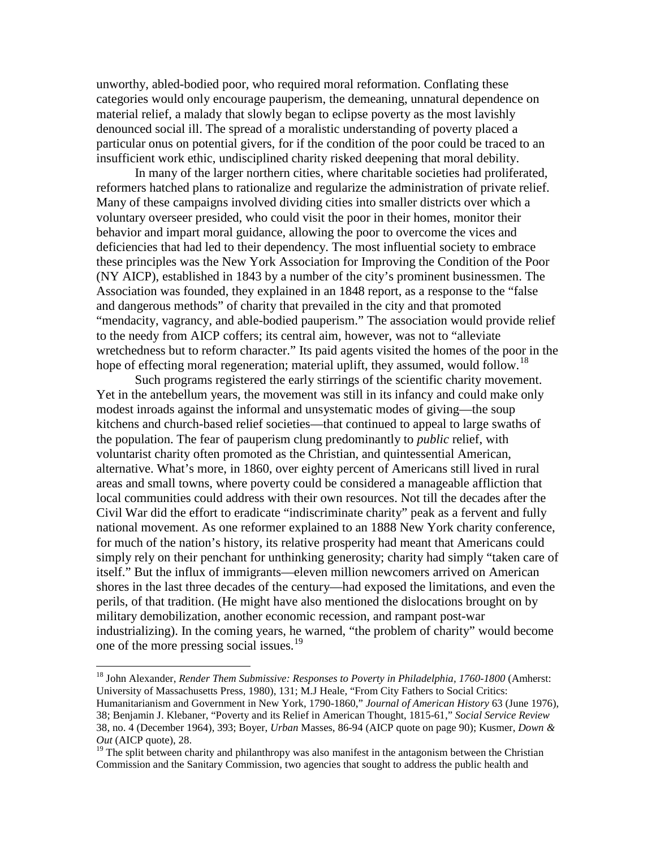unworthy, abled-bodied poor, who required moral reformation. Conflating these categories would only encourage pauperism, the demeaning, unnatural dependence on material relief, a malady that slowly began to eclipse poverty as the most lavishly denounced social ill. The spread of a moralistic understanding of poverty placed a particular onus on potential givers, for if the condition of the poor could be traced to an insufficient work ethic, undisciplined charity risked deepening that moral debility.

In many of the larger northern cities, where charitable societies had proliferated, reformers hatched plans to rationalize and regularize the administration of private relief. Many of these campaigns involved dividing cities into smaller districts over which a voluntary overseer presided, who could visit the poor in their homes, monitor their behavior and impart moral guidance, allowing the poor to overcome the vices and deficiencies that had led to their dependency. The most influential society to embrace these principles was the New York Association for Improving the Condition of the Poor (NY AICP), established in 1843 by a number of the city's prominent businessmen. The Association was founded, they explained in an 1848 report, as a response to the "false and dangerous methods" of charity that prevailed in the city and that promoted "mendacity, vagrancy, and able-bodied pauperism." The association would provide relief to the needy from AICP coffers; its central aim, however, was not to "alleviate wretchedness but to reform character." Its paid agents visited the homes of the poor in the hope of effecting moral regeneration; material uplift, they assumed, would follow.<sup>[18](#page-10-0)</sup>

Such programs registered the early stirrings of the scientific charity movement. Yet in the antebellum years, the movement was still in its infancy and could make only modest inroads against the informal and unsystematic modes of giving—the soup kitchens and church-based relief societies—that continued to appeal to large swaths of the population. The fear of pauperism clung predominantly to *public* relief, with voluntarist charity often promoted as the Christian, and quintessential American, alternative. What's more, in 1860, over eighty percent of Americans still lived in rural areas and small towns, where poverty could be considered a manageable affliction that local communities could address with their own resources. Not till the decades after the Civil War did the effort to eradicate "indiscriminate charity" peak as a fervent and fully national movement. As one reformer explained to an 1888 New York charity conference, for much of the nation's history, its relative prosperity had meant that Americans could simply rely on their penchant for unthinking generosity; charity had simply "taken care of itself." But the influx of immigrants—eleven million newcomers arrived on American shores in the last three decades of the century—had exposed the limitations, and even the perils, of that tradition. (He might have also mentioned the dislocations brought on by military demobilization, another economic recession, and rampant post-war industrializing). In the coming years, he warned, "the problem of charity" would become one of the more pressing social issues.[19](#page-11-0)

<span id="page-10-0"></span><sup>&</sup>lt;sup>18</sup> John Alexander, *Render Them Submissive: Responses to Poverty in Philadelphia, 1760-1800* (Amherst: University of Massachusetts Press, 1980), 131; M.J Heale, "From City Fathers to Social Critics: Humanitarianism and Government in New York, 1790-1860," *Journal of American History* 63 (June 1976), 38; Benjamin J. Klebaner, "Poverty and its Relief in American Thought, 1815-61," *Social Service Review* 38, no. 4 (December 1964), 393; Boyer, *Urban* Masses, 86-94 (AICP quote on page 90); Kusmer, *Down & Out* (AICP quote), 28.

<sup>&</sup>lt;sup>19</sup> The split between charity and philanthropy was also manifest in the antagonism between the Christian Commission and the Sanitary Commission, two agencies that sought to address the public health and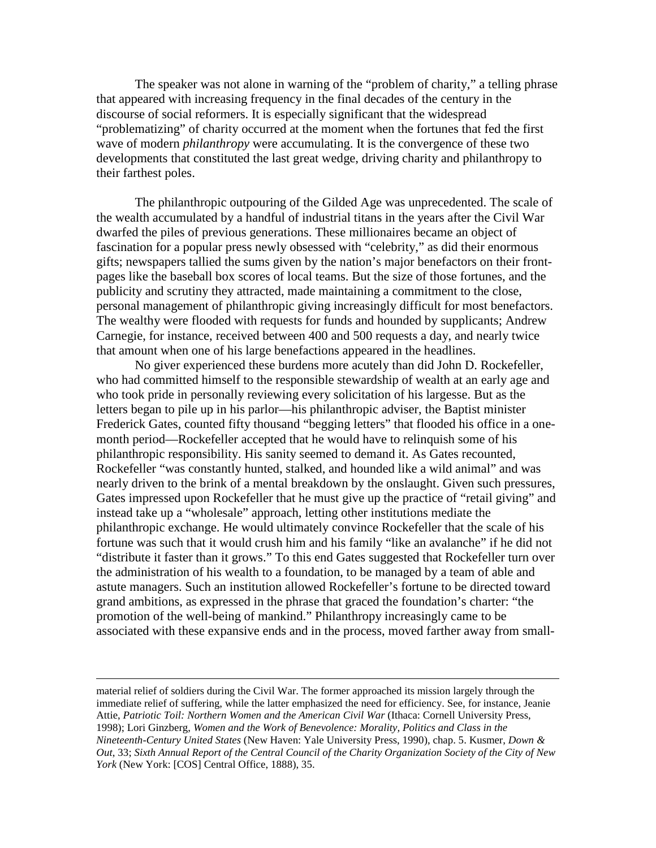The speaker was not alone in warning of the "problem of charity," a telling phrase that appeared with increasing frequency in the final decades of the century in the discourse of social reformers. It is especially significant that the widespread "problematizing" of charity occurred at the moment when the fortunes that fed the first wave of modern *philanthropy* were accumulating. It is the convergence of these two developments that constituted the last great wedge, driving charity and philanthropy to their farthest poles.

The philanthropic outpouring of the Gilded Age was unprecedented. The scale of the wealth accumulated by a handful of industrial titans in the years after the Civil War dwarfed the piles of previous generations. These millionaires became an object of fascination for a popular press newly obsessed with "celebrity," as did their enormous gifts; newspapers tallied the sums given by the nation's major benefactors on their frontpages like the baseball box scores of local teams. But the size of those fortunes, and the publicity and scrutiny they attracted, made maintaining a commitment to the close, personal management of philanthropic giving increasingly difficult for most benefactors. The wealthy were flooded with requests for funds and hounded by supplicants; Andrew Carnegie, for instance, received between 400 and 500 requests a day, and nearly twice that amount when one of his large benefactions appeared in the headlines.

No giver experienced these burdens more acutely than did John D. Rockefeller, who had committed himself to the responsible stewardship of wealth at an early age and who took pride in personally reviewing every solicitation of his largesse. But as the letters began to pile up in his parlor—his philanthropic adviser, the Baptist minister Frederick Gates, counted fifty thousand "begging letters" that flooded his office in a onemonth period—Rockefeller accepted that he would have to relinquish some of his philanthropic responsibility. His sanity seemed to demand it. As Gates recounted, Rockefeller "was constantly hunted, stalked, and hounded like a wild animal" and was nearly driven to the brink of a mental breakdown by the onslaught. Given such pressures, Gates impressed upon Rockefeller that he must give up the practice of "retail giving" and instead take up a "wholesale" approach, letting other institutions mediate the philanthropic exchange. He would ultimately convince Rockefeller that the scale of his fortune was such that it would crush him and his family "like an avalanche" if he did not "distribute it faster than it grows." To this end Gates suggested that Rockefeller turn over the administration of his wealth to a foundation, to be managed by a team of able and astute managers. Such an institution allowed Rockefeller's fortune to be directed toward grand ambitions, as expressed in the phrase that graced the foundation's charter: "the promotion of the well-being of mankind." Philanthropy increasingly came to be associated with these expansive ends and in the process, moved farther away from small-

<span id="page-11-0"></span>material relief of soldiers during the Civil War. The former approached its mission largely through the immediate relief of suffering, while the latter emphasized the need for efficiency. See, for instance, Jeanie Attie, *Patriotic Toil: Northern Women and the American Civil War* (Ithaca: Cornell University Press, 1998); Lori Ginzberg, *Women and the Work of Benevolence: Morality, Politics and Class in the Nineteenth-Century United States* (New Haven: Yale University Press, 1990), chap. 5. Kusmer, *Down & Out*, 33; *Sixth Annual Report of the Central Council of the Charity Organization Society of the City of New York* (New York: [COS] Central Office, 1888), 35.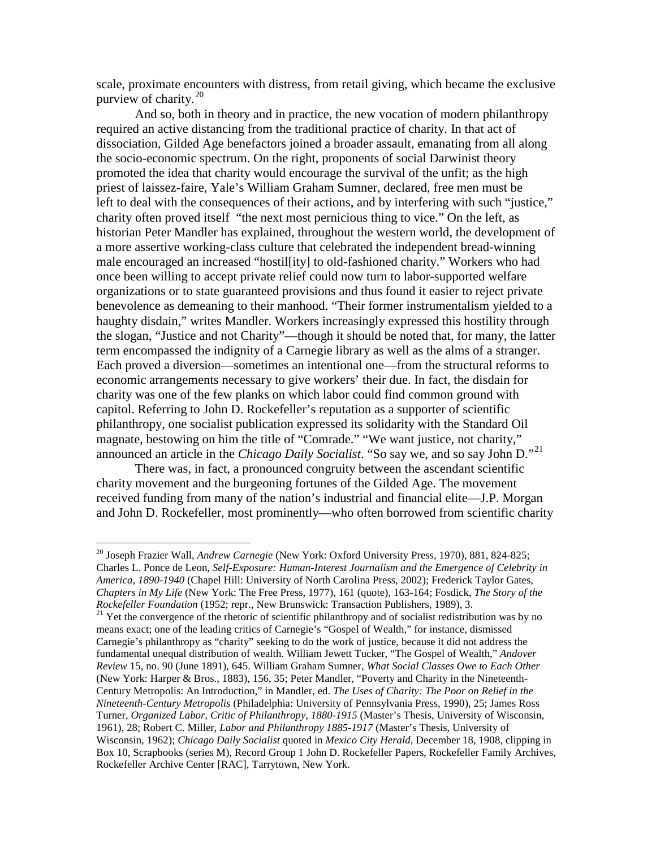scale, proximate encounters with distress, from retail giving, which became the exclusive purview of charity. [20](#page-12-0)

And so, both in theory and in practice, the new vocation of modern philanthropy required an active distancing from the traditional practice of charity. In that act of dissociation, Gilded Age benefactors joined a broader assault, emanating from all along the socio-economic spectrum. On the right, proponents of social Darwinist theory promoted the idea that charity would encourage the survival of the unfit; as the high priest of laissez-faire, Yale's William Graham Sumner, declared, free men must be left to deal with the consequences of their actions, and by interfering with such "justice," charity often proved itself "the next most pernicious thing to vice." On the left, as historian Peter Mandler has explained, throughout the western world, the development of a more assertive working-class culture that celebrated the independent bread-winning male encouraged an increased "hostil[ity] to old-fashioned charity." Workers who had once been willing to accept private relief could now turn to labor-supported welfare organizations or to state guaranteed provisions and thus found it easier to reject private benevolence as demeaning to their manhood. "Their former instrumentalism yielded to a haughty disdain," writes Mandler. Workers increasingly expressed this hostility through the slogan, "Justice and not Charity"—though it should be noted that, for many, the latter term encompassed the indignity of a Carnegie library as well as the alms of a stranger. Each proved a diversion—sometimes an intentional one—from the structural reforms to economic arrangements necessary to give workers' their due. In fact, the disdain for charity was one of the few planks on which labor could find common ground with capitol. Referring to John D. Rockefeller's reputation as a supporter of scientific philanthropy, one socialist publication expressed its solidarity with the Standard Oil magnate, bestowing on him the title of "Comrade." "We want justice, not charity," announced an article in the *Chicago Daily Socialist*. "So say we, and so say John D."[21](#page-12-1)

There was, in fact, a pronounced congruity between the ascendant scientific charity movement and the burgeoning fortunes of the Gilded Age. The movement received funding from many of the nation's industrial and financial elite—J.P. Morgan and John D. Rockefeller, most prominently—who often borrowed from scientific charity

<span id="page-12-0"></span> 20 Joseph Frazier Wall, *Andrew Carnegie* (New York: Oxford University Press, 1970), 881, 824-825; Charles L. Ponce de Leon, *Self-Exposure: Human-Interest Journalism and the Emergence of Celebrity in America, 1890-1940* (Chapel Hill: University of North Carolina Press, 2002); Frederick Taylor Gates, *Chapters in My Life* (New York: The Free Press, 1977), 161 (quote), 163-164; Fosdick, *The Story of the* 

<span id="page-12-1"></span><sup>21</sup> Yet the convergence of the rhetoric of scientific philanthropy and of socialist redistribution was by no means exact; one of the leading critics of Carnegie's "Gospel of Wealth," for instance, dismissed Carnegie's philanthropy as "charity" seeking to do the work of justice, because it did not address the fundamental unequal distribution of wealth. William Jewett Tucker, "The Gospel of Wealth," *Andover Review* 15, no. 90 (June 1891), 645. William Graham Sumner, *What Social Classes Owe to Each Other* (New York: Harper & Bros., 1883), 156, 35; Peter Mandler, "Poverty and Charity in the Nineteenth-Century Metropolis: An Introduction," in Mandler, ed. *The Uses of Charity: The Poor on Relief in the Nineteenth-Century Metropolis* (Philadelphia: University of Pennsylvania Press, 1990), 25; James Ross Turner, *Organized Labor, Critic of Philanthropy, 1880-1915* (Master's Thesis, University of Wisconsin, 1961), 28; Robert C. Miller, *Labor and Philanthropy 1885-1917* (Master's Thesis, University of Wisconsin, 1962); *Chicago Daily Socialist* quoted in *Mexico City Herald*, December 18, 1908, clipping in Box 10, Scrapbooks (series M), Record Group 1 John D. Rockefeller Papers, Rockefeller Family Archives, Rockefeller Archive Center [RAC], Tarrytown, New York.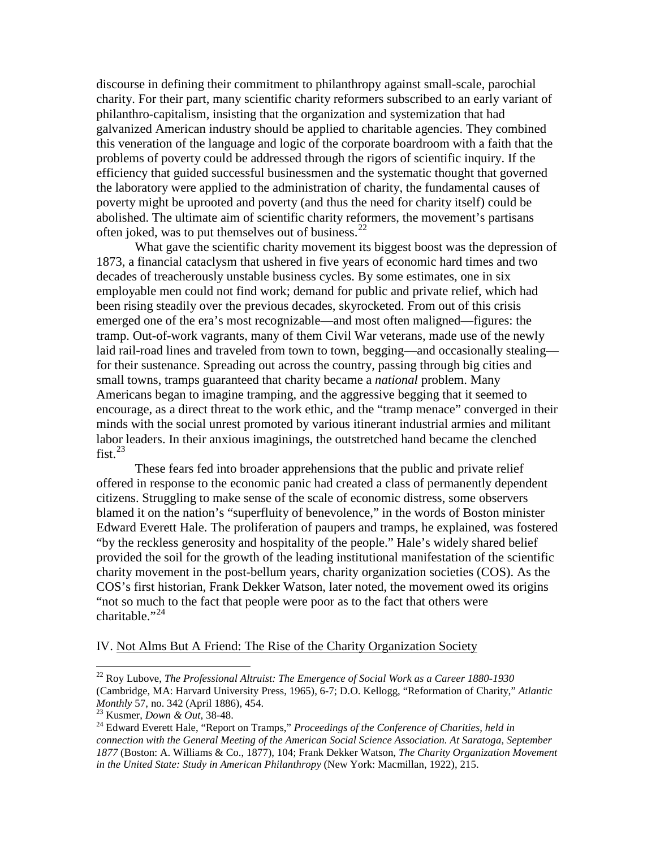discourse in defining their commitment to philanthropy against small-scale, parochial charity. For their part, many scientific charity reformers subscribed to an early variant of philanthro-capitalism, insisting that the organization and systemization that had galvanized American industry should be applied to charitable agencies. They combined this veneration of the language and logic of the corporate boardroom with a faith that the problems of poverty could be addressed through the rigors of scientific inquiry. If the efficiency that guided successful businessmen and the systematic thought that governed the laboratory were applied to the administration of charity, the fundamental causes of poverty might be uprooted and poverty (and thus the need for charity itself) could be abolished. The ultimate aim of scientific charity reformers, the movement's partisans often joked, was to put themselves out of business.<sup>[22](#page-13-0)</sup>

What gave the scientific charity movement its biggest boost was the depression of 1873, a financial cataclysm that ushered in five years of economic hard times and two decades of treacherously unstable business cycles. By some estimates, one in six employable men could not find work; demand for public and private relief, which had been rising steadily over the previous decades, skyrocketed. From out of this crisis emerged one of the era's most recognizable—and most often maligned—figures: the tramp. Out-of-work vagrants, many of them Civil War veterans, made use of the newly laid rail-road lines and traveled from town to town, begging—and occasionally stealing for their sustenance. Spreading out across the country, passing through big cities and small towns, tramps guaranteed that charity became a *national* problem. Many Americans began to imagine tramping, and the aggressive begging that it seemed to encourage, as a direct threat to the work ethic, and the "tramp menace" converged in their minds with the social unrest promoted by various itinerant industrial armies and militant labor leaders. In their anxious imaginings, the outstretched hand became the clenched fist. $^{23}$  $^{23}$  $^{23}$ 

These fears fed into broader apprehensions that the public and private relief offered in response to the economic panic had created a class of permanently dependent citizens. Struggling to make sense of the scale of economic distress, some observers blamed it on the nation's "superfluity of benevolence," in the words of Boston minister Edward Everett Hale. The proliferation of paupers and tramps, he explained, was fostered "by the reckless generosity and hospitality of the people." Hale's widely shared belief provided the soil for the growth of the leading institutional manifestation of the scientific charity movement in the post-bellum years, charity organization societies (COS). As the COS's first historian, Frank Dekker Watson, later noted, the movement owed its origins "not so much to the fact that people were poor as to the fact that others were charitable." $^{24}$  $^{24}$  $^{24}$ 

## IV. Not Alms But A Friend: The Rise of the Charity Organization Society

 <sup>22</sup> Roy Lubove, *The Professional Altruist: The Emergence of Social Work as a Career 1880-1930* (Cambridge, MA: Harvard University Press, 1965), 6-7; D.O. Kellogg, "Reformation of Charity," *Atlantic* 

<span id="page-13-1"></span>

<span id="page-13-0"></span><sup>&</sup>lt;sup>23</sup> Kusmer, *Down & Out*, 38-48.<br><sup>24</sup> Edward Everett Hale, "Report on Tramps," *Proceedings of the Conference of Charities, held in connection with the General Meeting of the American Social Science Association. At Saratoga, September 1877* (Boston: A. Williams & Co., 1877), 104; Frank Dekker Watson, *The Charity Organization Movement in the United State: Study in American Philanthropy* (New York: Macmillan, 1922), 215.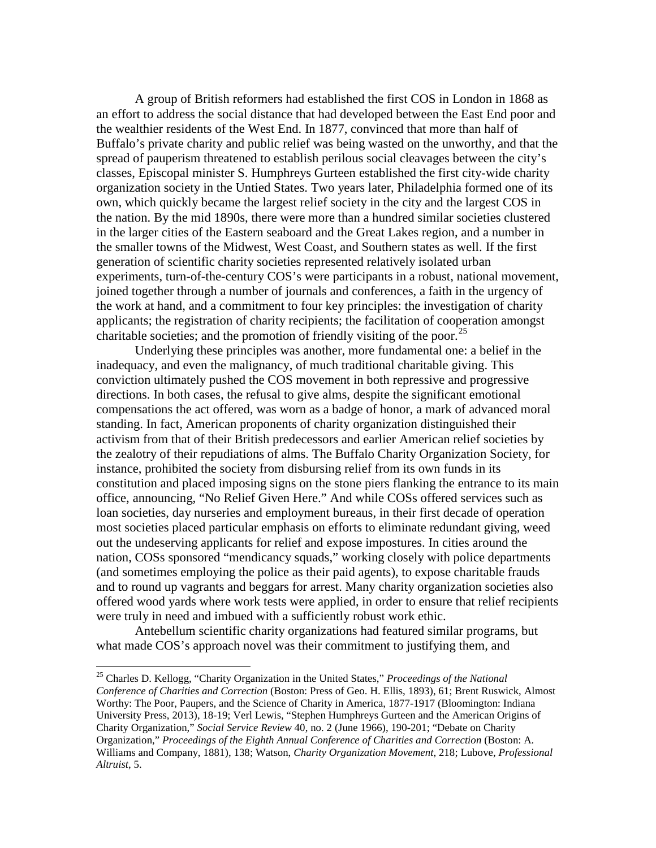A group of British reformers had established the first COS in London in 1868 as an effort to address the social distance that had developed between the East End poor and the wealthier residents of the West End. In 1877, convinced that more than half of Buffalo's private charity and public relief was being wasted on the unworthy, and that the spread of pauperism threatened to establish perilous social cleavages between the city's classes, Episcopal minister S. Humphreys Gurteen established the first city-wide charity organization society in the Untied States. Two years later, Philadelphia formed one of its own, which quickly became the largest relief society in the city and the largest COS in the nation. By the mid 1890s, there were more than a hundred similar societies clustered in the larger cities of the Eastern seaboard and the Great Lakes region, and a number in the smaller towns of the Midwest, West Coast, and Southern states as well. If the first generation of scientific charity societies represented relatively isolated urban experiments, turn-of-the-century COS's were participants in a robust, national movement, joined together through a number of journals and conferences, a faith in the urgency of the work at hand, and a commitment to four key principles: the investigation of charity applicants; the registration of charity recipients; the facilitation of cooperation amongst charitable societies; and the promotion of friendly visiting of the poor.<sup>[25](#page-14-1)</sup>

Underlying these principles was another, more fundamental one: a belief in the inadequacy, and even the malignancy, of much traditional charitable giving. This conviction ultimately pushed the COS movement in both repressive and progressive directions. In both cases, the refusal to give alms, despite the significant emotional compensations the act offered, was worn as a badge of honor, a mark of advanced moral standing. In fact, American proponents of charity organization distinguished their activism from that of their British predecessors and earlier American relief societies by the zealotry of their repudiations of alms. The Buffalo Charity Organization Society, for instance, prohibited the society from disbursing relief from its own funds in its constitution and placed imposing signs on the stone piers flanking the entrance to its main office, announcing, "No Relief Given Here." And while COSs offered services such as loan societies, day nurseries and employment bureaus, in their first decade of operation most societies placed particular emphasis on efforts to eliminate redundant giving, weed out the undeserving applicants for relief and expose impostures. In cities around the nation, COSs sponsored "mendicancy squads," working closely with police departments (and sometimes employing the police as their paid agents), to expose charitable frauds and to round up vagrants and beggars for arrest. Many charity organization societies also offered wood yards where work tests were applied, in order to ensure that relief recipients were truly in need and imbued with a sufficiently robust work ethic.

<span id="page-14-0"></span>Antebellum scientific charity organizations had featured similar programs, but what made COS's approach novel was their commitment to justifying them, and

<span id="page-14-1"></span> <sup>25</sup> Charles D. Kellogg, "Charity Organization in the United States," *Proceedings of the National Conference of Charities and Correction* (Boston: Press of Geo. H. Ellis, 1893), 61; Brent Ruswick, Almost Worthy: The Poor, Paupers, and the Science of Charity in America, 1877-1917 (Bloomington: Indiana University Press, 2013), 18-19; Verl Lewis, "Stephen Humphreys Gurteen and the American Origins of Charity Organization," *Social Service Review* 40, no. 2 (June 1966), 190-201; "Debate on Charity Organization," *Proceedings of the Eighth Annual Conference of Charities and Correction* (Boston: A. Williams and Company, 1881), 138; Watson, *Charity Organization Movement*, 218; Lubove, *Professional Altruist*, 5.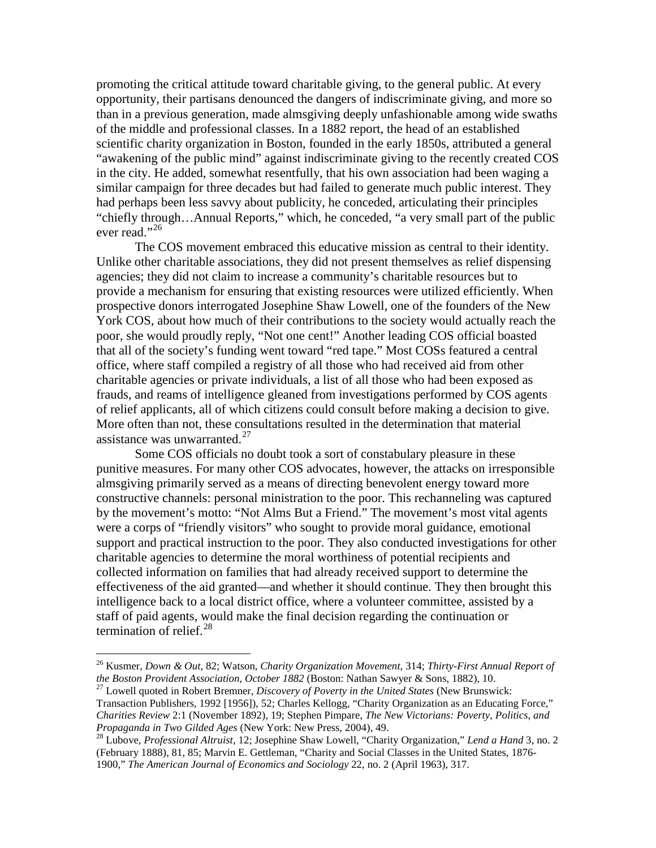promoting the critical attitude toward charitable giving, to the general public. At every opportunity, their partisans denounced the dangers of indiscriminate giving, and more so than in a previous generation, made almsgiving deeply unfashionable among wide swaths of the middle and professional classes. In a 1882 report, the head of an established scientific charity organization in Boston, founded in the early 1850s, attributed a general "awakening of the public mind" against indiscriminate giving to the recently created COS in the city. He added, somewhat resentfully, that his own association had been waging a similar campaign for three decades but had failed to generate much public interest. They had perhaps been less savvy about publicity, he conceded, articulating their principles "chiefly through…Annual Reports," which, he conceded, "a very small part of the public ever read."<sup>[26](#page-15-0)</sup>

The COS movement embraced this educative mission as central to their identity. Unlike other charitable associations, they did not present themselves as relief dispensing agencies; they did not claim to increase a community's charitable resources but to provide a mechanism for ensuring that existing resources were utilized efficiently. When prospective donors interrogated Josephine Shaw Lowell, one of the founders of the New York COS, about how much of their contributions to the society would actually reach the poor, she would proudly reply, "Not one cent!" Another leading COS official boasted that all of the society's funding went toward "red tape." Most COSs featured a central office, where staff compiled a registry of all those who had received aid from other charitable agencies or private individuals, a list of all those who had been exposed as frauds, and reams of intelligence gleaned from investigations performed by COS agents of relief applicants, all of which citizens could consult before making a decision to give. More often than not, these consultations resulted in the determination that material assistance was unwarranted. $27$ 

Some COS officials no doubt took a sort of constabulary pleasure in these punitive measures. For many other COS advocates, however, the attacks on irresponsible almsgiving primarily served as a means of directing benevolent energy toward more constructive channels: personal ministration to the poor. This rechanneling was captured by the movement's motto: "Not Alms But a Friend." The movement's most vital agents were a corps of "friendly visitors" who sought to provide moral guidance, emotional support and practical instruction to the poor. They also conducted investigations for other charitable agencies to determine the moral worthiness of potential recipients and collected information on families that had already received support to determine the effectiveness of the aid granted—and whether it should continue. They then brought this intelligence back to a local district office, where a volunteer committee, assisted by a staff of paid agents, would make the final decision regarding the continuation or termination of relief. $^{28}$  $^{28}$  $^{28}$ 

 <sup>26</sup> Kusmer, *Down & Out*, 82; Watson, *Charity Organization Movement*, 314; *Thirty-First Annual Report of* 

<span id="page-15-0"></span><sup>&</sup>lt;sup>27</sup> Lowell quoted in Robert Bremner, *Discovery of Poverty in the United States* (New Brunswick: Transaction Publishers, 1992 [1956]), 52; Charles Kellogg, "Charity Organization as an Educating Force," *Charities Review* 2:1 (November 1892), 19; Stephen Pimpare, *The New Victorians: Poverty, Politics, and Propaganda in Two Gilded Ages* (New York: New Press, 2004), 49.<br><sup>28</sup> Lubove, *Professional Altruist*, 12; Josephine Shaw Lowell, "Charity Organization," *Lend a Hand* 3, no. 2

<span id="page-15-1"></span><sup>(</sup>February 1888), 81, 85; Marvin E. Gettleman, "Charity and Social Classes in the United States, 1876- 1900," *The American Journal of Economics and Sociology* 22, no. 2 (April 1963), 317.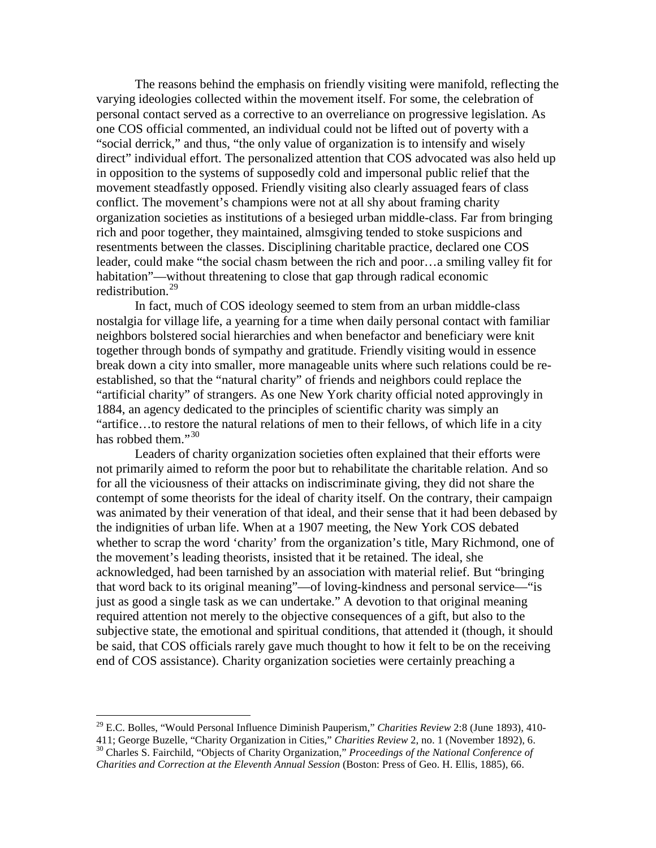The reasons behind the emphasis on friendly visiting were manifold, reflecting the varying ideologies collected within the movement itself. For some, the celebration of personal contact served as a corrective to an overreliance on progressive legislation. As one COS official commented, an individual could not be lifted out of poverty with a "social derrick," and thus, "the only value of organization is to intensify and wisely direct" individual effort. The personalized attention that COS advocated was also held up in opposition to the systems of supposedly cold and impersonal public relief that the movement steadfastly opposed. Friendly visiting also clearly assuaged fears of class conflict. The movement's champions were not at all shy about framing charity organization societies as institutions of a besieged urban middle-class. Far from bringing rich and poor together, they maintained, almsgiving tended to stoke suspicions and resentments between the classes. Disciplining charitable practice, declared one COS leader, could make "the social chasm between the rich and poor…a smiling valley fit for habitation"—without threatening to close that gap through radical economic redistribution.<sup>[29](#page-16-1)</sup>

In fact, much of COS ideology seemed to stem from an urban middle-class nostalgia for village life, a yearning for a time when daily personal contact with familiar neighbors bolstered social hierarchies and when benefactor and beneficiary were knit together through bonds of sympathy and gratitude. Friendly visiting would in essence break down a city into smaller, more manageable units where such relations could be reestablished, so that the "natural charity" of friends and neighbors could replace the "artificial charity" of strangers. As one New York charity official noted approvingly in 1884, an agency dedicated to the principles of scientific charity was simply an "artifice…to restore the natural relations of men to their fellows, of which life in a city has robbed them."<sup>[30](#page-16-2)</sup>

Leaders of charity organization societies often explained that their efforts were not primarily aimed to reform the poor but to rehabilitate the charitable relation. And so for all the viciousness of their attacks on indiscriminate giving, they did not share the contempt of some theorists for the ideal of charity itself. On the contrary, their campaign was animated by their veneration of that ideal, and their sense that it had been debased by the indignities of urban life. When at a 1907 meeting, the New York COS debated whether to scrap the word 'charity' from the organization's title, Mary Richmond, one of the movement's leading theorists, insisted that it be retained. The ideal, she acknowledged, had been tarnished by an association with material relief. But "bringing that word back to its original meaning"—of loving-kindness and personal service—"is just as good a single task as we can undertake." A devotion to that original meaning required attention not merely to the objective consequences of a gift, but also to the subjective state, the emotional and spiritual conditions, that attended it (though, it should be said, that COS officials rarely gave much thought to how it felt to be on the receiving end of COS assistance). Charity organization societies were certainly preaching a

<span id="page-16-0"></span> <sup>29</sup> E.C. Bolles, "Would Personal Influence Diminish Pauperism," *Charities Review* 2:8 (June 1893), 410-

<span id="page-16-2"></span><span id="page-16-1"></span><sup>411;</sup> George Buzelle, "Charity Organization in Cities," *Charities Review 2*, no. 1 (November 1892), 6. <sup>30</sup> Charles S. Fairchild, "Objects of Charity Organization," *Proceedings of the National Conference of Charities and Correction at the Eleventh Annual Session* (Boston: Press of Geo. H. Ellis, 1885), 66.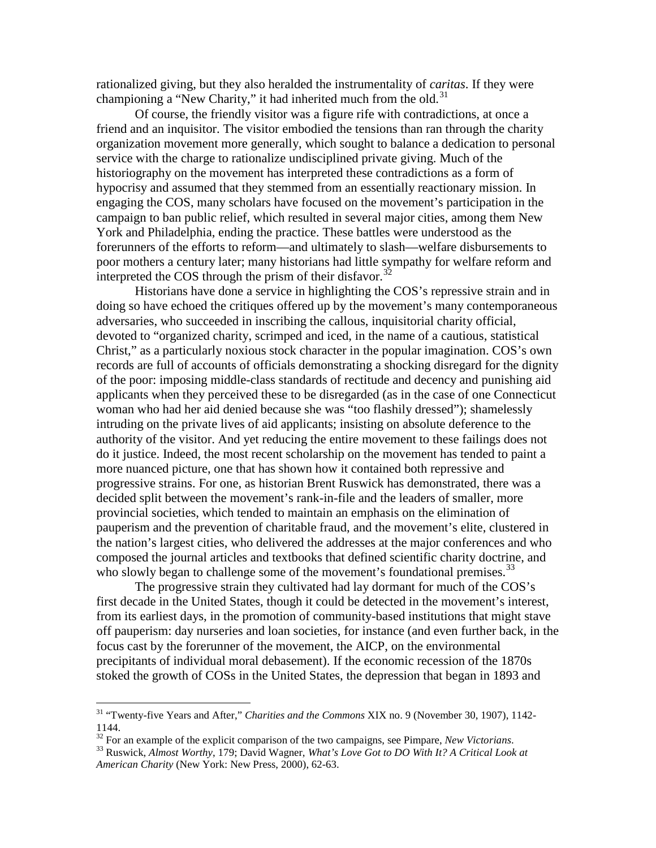rationalized giving, but they also heralded the instrumentality of *caritas*. If they were championing a "New Charity," it had inherited much from the old.<sup>[31](#page-17-0)</sup>

Of course, the friendly visitor was a figure rife with contradictions, at once a friend and an inquisitor. The visitor embodied the tensions than ran through the charity organization movement more generally, which sought to balance a dedication to personal service with the charge to rationalize undisciplined private giving. Much of the historiography on the movement has interpreted these contradictions as a form of hypocrisy and assumed that they stemmed from an essentially reactionary mission. In engaging the COS, many scholars have focused on the movement's participation in the campaign to ban public relief, which resulted in several major cities, among them New York and Philadelphia, ending the practice. These battles were understood as the forerunners of the efforts to reform—and ultimately to slash—welfare disbursements to poor mothers a century later; many historians had little sympathy for welfare reform and interpreted the COS through the prism of their disfavor.<sup>[32](#page-17-1)</sup>

Historians have done a service in highlighting the COS's repressive strain and in doing so have echoed the critiques offered up by the movement's many contemporaneous adversaries, who succeeded in inscribing the callous, inquisitorial charity official, devoted to "organized charity, scrimped and iced, in the name of a cautious, statistical Christ," as a particularly noxious stock character in the popular imagination. COS's own records are full of accounts of officials demonstrating a shocking disregard for the dignity of the poor: imposing middle-class standards of rectitude and decency and punishing aid applicants when they perceived these to be disregarded (as in the case of one Connecticut woman who had her aid denied because she was "too flashily dressed"); shamelessly intruding on the private lives of aid applicants; insisting on absolute deference to the authority of the visitor. And yet reducing the entire movement to these failings does not do it justice. Indeed, the most recent scholarship on the movement has tended to paint a more nuanced picture, one that has shown how it contained both repressive and progressive strains. For one, as historian Brent Ruswick has demonstrated, there was a decided split between the movement's rank-in-file and the leaders of smaller, more provincial societies, which tended to maintain an emphasis on the elimination of pauperism and the prevention of charitable fraud, and the movement's elite, clustered in the nation's largest cities, who delivered the addresses at the major conferences and who composed the journal articles and textbooks that defined scientific charity doctrine, and who slowly began to challenge some of the movement's foundational premises.<sup>[33](#page-17-2)</sup>

The progressive strain they cultivated had lay dormant for much of the COS's first decade in the United States, though it could be detected in the movement's interest, from its earliest days, in the promotion of community-based institutions that might stave off pauperism: day nurseries and loan societies, for instance (and even further back, in the focus cast by the forerunner of the movement, the AICP, on the environmental precipitants of individual moral debasement). If the economic recession of the 1870s stoked the growth of COSs in the United States, the depression that began in 1893 and

<span id="page-17-0"></span> <sup>31</sup> "Twenty-five Years and After," *Charities and the Commons* XIX no. 9 (November 30, 1907), 1142- 1144.<br><sup>32</sup> For an example of the explicit comparison of the two campaigns, see Pimpare, *New Victorians*.

<span id="page-17-2"></span><span id="page-17-1"></span><sup>&</sup>lt;sup>33</sup> Ruswick. Almost Worthy, 179; David Wagner, *What's Love Got to DO With It? A Critical Look at American Charity* (New York: New Press, 2000), 62-63.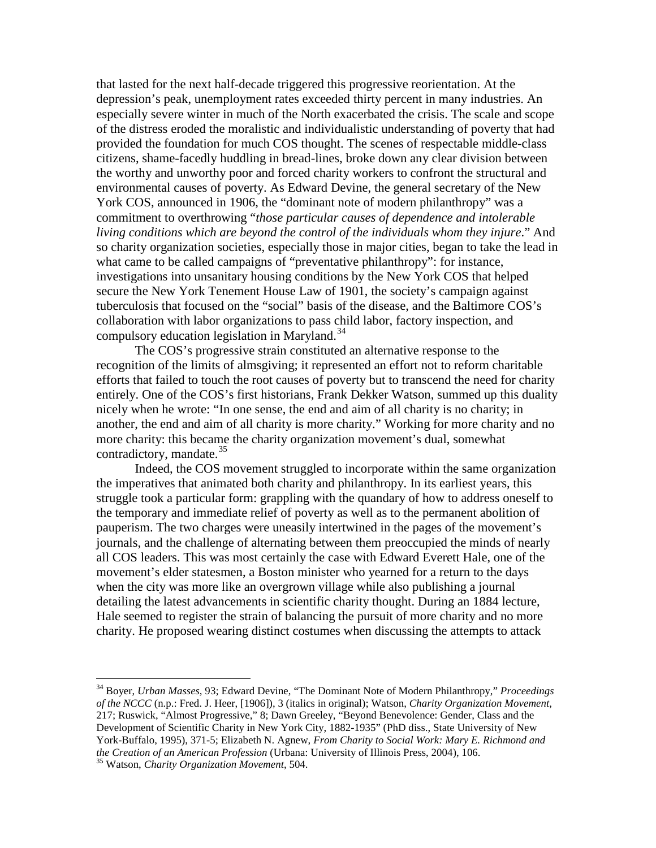that lasted for the next half-decade triggered this progressive reorientation. At the depression's peak, unemployment rates exceeded thirty percent in many industries. An especially severe winter in much of the North exacerbated the crisis. The scale and scope of the distress eroded the moralistic and individualistic understanding of poverty that had provided the foundation for much COS thought. The scenes of respectable middle-class citizens, shame-facedly huddling in bread-lines, broke down any clear division between the worthy and unworthy poor and forced charity workers to confront the structural and environmental causes of poverty. As Edward Devine, the general secretary of the New York COS, announced in 1906, the "dominant note of modern philanthropy" was a commitment to overthrowing "*those particular causes of dependence and intolerable living conditions which are beyond the control of the individuals whom they injure*." And so charity organization societies, especially those in major cities, began to take the lead in what came to be called campaigns of "preventative philanthropy": for instance, investigations into unsanitary housing conditions by the New York COS that helped secure the New York Tenement House Law of 1901, the society's campaign against tuberculosis that focused on the "social" basis of the disease, and the Baltimore COS's collaboration with labor organizations to pass child labor, factory inspection, and compulsory education legislation in Maryland. [34](#page-18-0)

The COS's progressive strain constituted an alternative response to the recognition of the limits of almsgiving; it represented an effort not to reform charitable efforts that failed to touch the root causes of poverty but to transcend the need for charity entirely. One of the COS's first historians, Frank Dekker Watson, summed up this duality nicely when he wrote: "In one sense, the end and aim of all charity is no charity; in another, the end and aim of all charity is more charity." Working for more charity and no more charity: this became the charity organization movement's dual, somewhat contradictory, mandate. $35$ 

Indeed, the COS movement struggled to incorporate within the same organization the imperatives that animated both charity and philanthropy. In its earliest years, this struggle took a particular form: grappling with the quandary of how to address oneself to the temporary and immediate relief of poverty as well as to the permanent abolition of pauperism. The two charges were uneasily intertwined in the pages of the movement's journals, and the challenge of alternating between them preoccupied the minds of nearly all COS leaders. This was most certainly the case with Edward Everett Hale, one of the movement's elder statesmen, a Boston minister who yearned for a return to the days when the city was more like an overgrown village while also publishing a journal detailing the latest advancements in scientific charity thought. During an 1884 lecture, Hale seemed to register the strain of balancing the pursuit of more charity and no more charity. He proposed wearing distinct costumes when discussing the attempts to attack

<span id="page-18-0"></span> <sup>34</sup> Boyer, *Urban Masses*, 93; Edward Devine, "The Dominant Note of Modern Philanthropy," *Proceedings of the NCCC* (n.p.: Fred. J. Heer, [1906]), 3 (italics in original); Watson, *Charity Organization Movement*, 217; Ruswick, "Almost Progressive," 8; Dawn Greeley, "Beyond Benevolence: Gender, Class and the Development of Scientific Charity in New York City, 1882-1935" (PhD diss., State University of New York-Buffalo, 1995), 371-5; Elizabeth N. Agnew, *From Charity to Social Work: Mary E. Richmond and the Creation of an American Profession* (Urbana: University of Illinois Press, 2004), 106. <sup>35</sup> Watson, *Charity Organization Movement*, 504.

<span id="page-18-1"></span>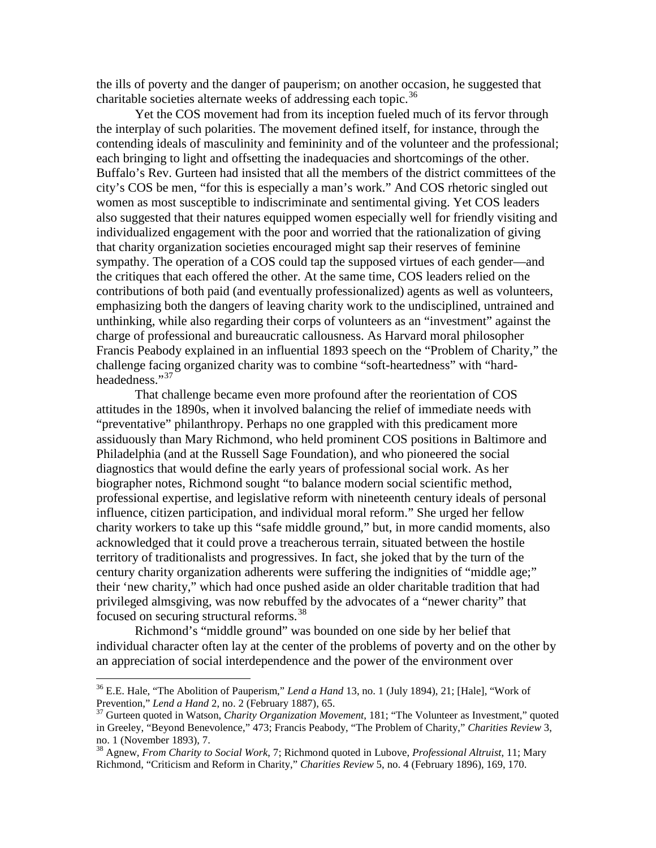the ills of poverty and the danger of pauperism; on another occasion, he suggested that charitable societies alternate weeks of addressing each topic.<sup>[36](#page-19-0)</sup>

Yet the COS movement had from its inception fueled much of its fervor through the interplay of such polarities. The movement defined itself, for instance, through the contending ideals of masculinity and femininity and of the volunteer and the professional; each bringing to light and offsetting the inadequacies and shortcomings of the other. Buffalo's Rev. Gurteen had insisted that all the members of the district committees of the city's COS be men, "for this is especially a man's work." And COS rhetoric singled out women as most susceptible to indiscriminate and sentimental giving. Yet COS leaders also suggested that their natures equipped women especially well for friendly visiting and individualized engagement with the poor and worried that the rationalization of giving that charity organization societies encouraged might sap their reserves of feminine sympathy. The operation of a COS could tap the supposed virtues of each gender—and the critiques that each offered the other. At the same time, COS leaders relied on the contributions of both paid (and eventually professionalized) agents as well as volunteers, emphasizing both the dangers of leaving charity work to the undisciplined, untrained and unthinking, while also regarding their corps of volunteers as an "investment" against the charge of professional and bureaucratic callousness. As Harvard moral philosopher Francis Peabody explained in an influential 1893 speech on the "Problem of Charity," the challenge facing organized charity was to combine "soft-heartedness" with "hard-headedness."[37](#page-19-1)

That challenge became even more profound after the reorientation of COS attitudes in the 1890s, when it involved balancing the relief of immediate needs with "preventative" philanthropy. Perhaps no one grappled with this predicament more assiduously than Mary Richmond, who held prominent COS positions in Baltimore and Philadelphia (and at the Russell Sage Foundation), and who pioneered the social diagnostics that would define the early years of professional social work. As her biographer notes, Richmond sought "to balance modern social scientific method, professional expertise, and legislative reform with nineteenth century ideals of personal influence, citizen participation, and individual moral reform." She urged her fellow charity workers to take up this "safe middle ground," but, in more candid moments, also acknowledged that it could prove a treacherous terrain, situated between the hostile territory of traditionalists and progressives. In fact, she joked that by the turn of the century charity organization adherents were suffering the indignities of "middle age;" their 'new charity," which had once pushed aside an older charitable tradition that had privileged almsgiving, was now rebuffed by the advocates of a "newer charity" that focused on securing structural reforms.<sup>[38](#page-20-0)</sup>

Richmond's "middle ground" was bounded on one side by her belief that individual character often lay at the center of the problems of poverty and on the other by an appreciation of social interdependence and the power of the environment over

<sup>&</sup>lt;sup>36</sup> E.E. Hale, "The Abolition of Pauperism," *Lend a Hand* 13, no. 1 (July 1894), 21; [Hale], "Work of Prevention," *Lend a Hand* 2, no. 2 (February 1887), 65.

<span id="page-19-0"></span><sup>&</sup>lt;sup>37</sup> Gurteen quoted in Watson, *Charity Organization Movement*, 181; "The Volunteer as Investment," quoted in Greeley, "Beyond Benevolence," 473; Francis Peabody, "The Problem of Charity," *Charities Review* 3, no. 1 (November 1893), 7.<br><sup>38</sup> Agnew, *From Charity to Social Work*, 7; Richmond quoted in Lubove, *Professional Altruist*, 11; Mary

<span id="page-19-1"></span>Richmond, "Criticism and Reform in Charity," *Charities Review* 5, no. 4 (February 1896), 169, 170.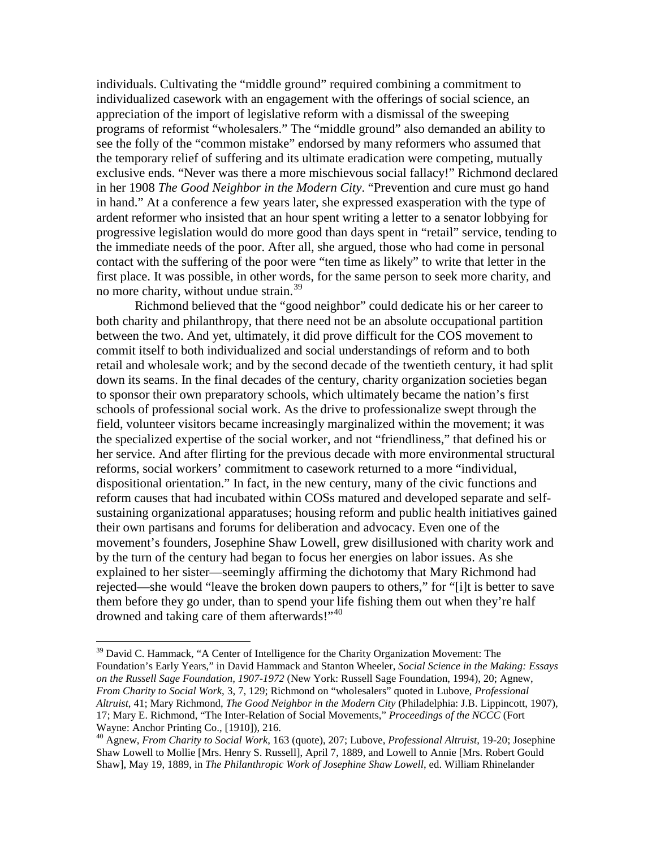individuals. Cultivating the "middle ground" required combining a commitment to individualized casework with an engagement with the offerings of social science, an appreciation of the import of legislative reform with a dismissal of the sweeping programs of reformist "wholesalers." The "middle ground" also demanded an ability to see the folly of the "common mistake" endorsed by many reformers who assumed that the temporary relief of suffering and its ultimate eradication were competing, mutually exclusive ends. "Never was there a more mischievous social fallacy!" Richmond declared in her 1908 *The Good Neighbor in the Modern City*. "Prevention and cure must go hand in hand." At a conference a few years later, she expressed exasperation with the type of ardent reformer who insisted that an hour spent writing a letter to a senator lobbying for progressive legislation would do more good than days spent in "retail" service, tending to the immediate needs of the poor. After all, she argued, those who had come in personal contact with the suffering of the poor were "ten time as likely" to write that letter in the first place. It was possible, in other words, for the same person to seek more charity, and no more charity, without undue strain.<sup>[39](#page-20-1)</sup>

Richmond believed that the "good neighbor" could dedicate his or her career to both charity and philanthropy, that there need not be an absolute occupational partition between the two. And yet, ultimately, it did prove difficult for the COS movement to commit itself to both individualized and social understandings of reform and to both retail and wholesale work; and by the second decade of the twentieth century, it had split down its seams. In the final decades of the century, charity organization societies began to sponsor their own preparatory schools, which ultimately became the nation's first schools of professional social work. As the drive to professionalize swept through the field, volunteer visitors became increasingly marginalized within the movement; it was the specialized expertise of the social worker, and not "friendliness," that defined his or her service. And after flirting for the previous decade with more environmental structural reforms, social workers' commitment to casework returned to a more "individual, dispositional orientation." In fact, in the new century, many of the civic functions and reform causes that had incubated within COSs matured and developed separate and selfsustaining organizational apparatuses; housing reform and public health initiatives gained their own partisans and forums for deliberation and advocacy. Even one of the movement's founders, Josephine Shaw Lowell, grew disillusioned with charity work and by the turn of the century had began to focus her energies on labor issues. As she explained to her sister—seemingly affirming the dichotomy that Mary Richmond had rejected—she would "leave the broken down paupers to others," for "[i]t is better to save them before they go under, than to spend your life fishing them out when they're half drowned and taking care of them afterwards!"<sup>[40](#page-21-0)</sup>

<span id="page-20-1"></span><span id="page-20-0"></span><sup>&</sup>lt;sup>39</sup> David C. Hammack, "A Center of Intelligence for the Charity Organization Movement: The Foundation's Early Years," in David Hammack and Stanton Wheeler, *Social Science in the Making: Essays on the Russell Sage Foundation, 1907-1972* (New York: Russell Sage Foundation, 1994), 20; Agnew, *From Charity to Social Work*, 3, 7, 129; Richmond on "wholesalers" quoted in Lubove, *Professional Altruist*, 41; Mary Richmond, *The Good Neighbor in the Modern City* (Philadelphia: J.B. Lippincott, 1907), 17; Mary E. Richmond, "The Inter-Relation of Social Movements," *Proceedings of the NCCC* (Fort Wayne: Anchor Printing Co., [1910]), 216.

<sup>40</sup> Agnew, *From Charity to Social Work*, 163 (quote), 207; Lubove, *Professional Altruist*, 19-20; Josephine Shaw Lowell to Mollie [Mrs. Henry S. Russell], April 7, 1889, and Lowell to Annie [Mrs. Robert Gould Shaw], May 19, 1889, in *The Philanthropic Work of Josephine Shaw Lowell*, ed. William Rhinelander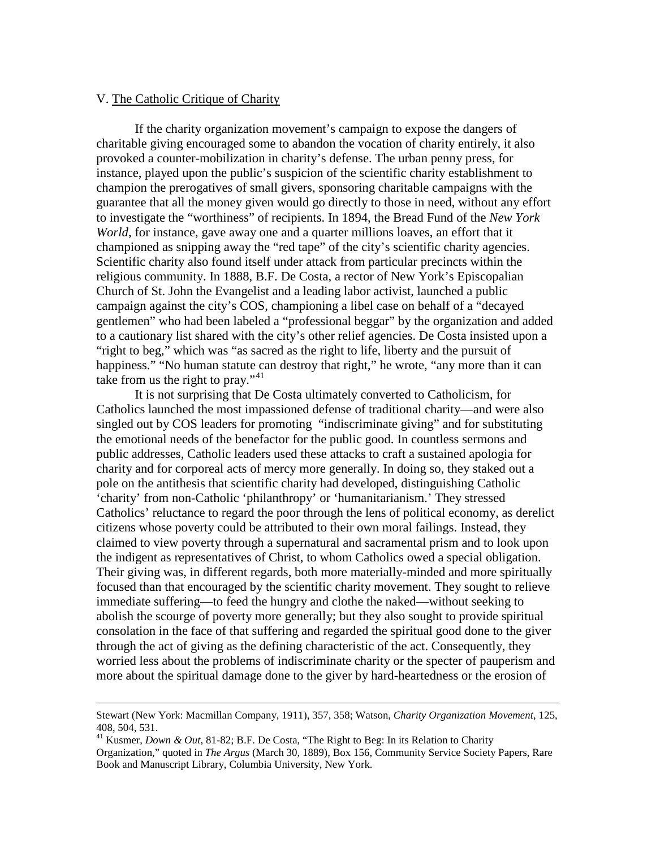### V. The Catholic Critique of Charity

If the charity organization movement's campaign to expose the dangers of charitable giving encouraged some to abandon the vocation of charity entirely, it also provoked a counter-mobilization in charity's defense. The urban penny press, for instance, played upon the public's suspicion of the scientific charity establishment to champion the prerogatives of small givers, sponsoring charitable campaigns with the guarantee that all the money given would go directly to those in need, without any effort to investigate the "worthiness" of recipients. In 1894, the Bread Fund of the *New York World*, for instance, gave away one and a quarter millions loaves, an effort that it championed as snipping away the "red tape" of the city's scientific charity agencies. Scientific charity also found itself under attack from particular precincts within the religious community. In 1888, B.F. De Costa, a rector of New York's Episcopalian Church of St. John the Evangelist and a leading labor activist, launched a public campaign against the city's COS, championing a libel case on behalf of a "decayed gentlemen" who had been labeled a "professional beggar" by the organization and added to a cautionary list shared with the city's other relief agencies. De Costa insisted upon a "right to beg," which was "as sacred as the right to life, liberty and the pursuit of happiness." "No human statute can destroy that right," he wrote, "any more than it can take from us the right to pray."<sup>[41](#page-21-1)</sup>

It is not surprising that De Costa ultimately converted to Catholicism, for Catholics launched the most impassioned defense of traditional charity—and were also singled out by COS leaders for promoting "indiscriminate giving" and for substituting the emotional needs of the benefactor for the public good. In countless sermons and public addresses, Catholic leaders used these attacks to craft a sustained apologia for charity and for corporeal acts of mercy more generally. In doing so, they staked out a pole on the antithesis that scientific charity had developed, distinguishing Catholic 'charity' from non-Catholic 'philanthropy' or 'humanitarianism.' They stressed Catholics' reluctance to regard the poor through the lens of political economy, as derelict citizens whose poverty could be attributed to their own moral failings. Instead, they claimed to view poverty through a supernatural and sacramental prism and to look upon the indigent as representatives of Christ, to whom Catholics owed a special obligation. Their giving was, in different regards, both more materially-minded and more spiritually focused than that encouraged by the scientific charity movement. They sought to relieve immediate suffering—to feed the hungry and clothe the naked—without seeking to abolish the scourge of poverty more generally; but they also sought to provide spiritual consolation in the face of that suffering and regarded the spiritual good done to the giver through the act of giving as the defining characteristic of the act. Consequently, they worried less about the problems of indiscriminate charity or the specter of pauperism and more about the spiritual damage done to the giver by hard-heartedness or the erosion of

<span id="page-21-0"></span>Stewart (New York: Macmillan Company, 1911), 357, 358; Watson, *Charity Organization Movement*, 125, 408, 504, 531.

<span id="page-21-1"></span><sup>&</sup>lt;sup>41</sup> Kusmer, *Down & Out*, 81-82; B.F. De Costa, "The Right to Beg: In its Relation to Charity Organization," quoted in *The Argus* (March 30, 1889), Box 156, Community Service Society Papers, Rare Book and Manuscript Library, Columbia University, New York.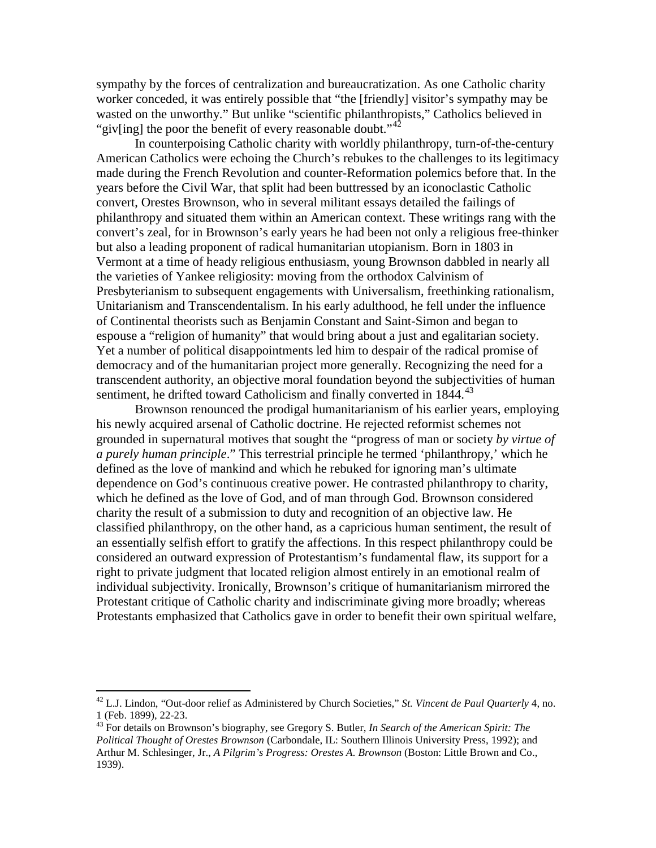sympathy by the forces of centralization and bureaucratization. As one Catholic charity worker conceded, it was entirely possible that "the [friendly] visitor's sympathy may be wasted on the unworthy." But unlike "scientific philanthropists," Catholics believed in "giv[ing] the poor the benefit of every reasonable doubt."<sup>[42](#page-22-0)</sup>

In counterpoising Catholic charity with worldly philanthropy, turn-of-the-century American Catholics were echoing the Church's rebukes to the challenges to its legitimacy made during the French Revolution and counter-Reformation polemics before that. In the years before the Civil War, that split had been buttressed by an iconoclastic Catholic convert, Orestes Brownson, who in several militant essays detailed the failings of philanthropy and situated them within an American context. These writings rang with the convert's zeal, for in Brownson's early years he had been not only a religious free-thinker but also a leading proponent of radical humanitarian utopianism. Born in 1803 in Vermont at a time of heady religious enthusiasm, young Brownson dabbled in nearly all the varieties of Yankee religiosity: moving from the orthodox Calvinism of Presbyterianism to subsequent engagements with Universalism, freethinking rationalism, Unitarianism and Transcendentalism. In his early adulthood, he fell under the influence of Continental theorists such as Benjamin Constant and Saint-Simon and began to espouse a "religion of humanity" that would bring about a just and egalitarian society. Yet a number of political disappointments led him to despair of the radical promise of democracy and of the humanitarian project more generally. Recognizing the need for a transcendent authority, an objective moral foundation beyond the subjectivities of human sentiment, he drifted toward Catholicism and finally converted in 1844.<sup>[43](#page-22-1)</sup>

Brownson renounced the prodigal humanitarianism of his earlier years, employing his newly acquired arsenal of Catholic doctrine. He rejected reformist schemes not grounded in supernatural motives that sought the "progress of man or society *by virtue of a purely human principle*." This terrestrial principle he termed 'philanthropy,' which he defined as the love of mankind and which he rebuked for ignoring man's ultimate dependence on God's continuous creative power. He contrasted philanthropy to charity, which he defined as the love of God, and of man through God. Brownson considered charity the result of a submission to duty and recognition of an objective law. He classified philanthropy, on the other hand, as a capricious human sentiment, the result of an essentially selfish effort to gratify the affections. In this respect philanthropy could be considered an outward expression of Protestantism's fundamental flaw, its support for a right to private judgment that located religion almost entirely in an emotional realm of individual subjectivity. Ironically, Brownson's critique of humanitarianism mirrored the Protestant critique of Catholic charity and indiscriminate giving more broadly; whereas Protestants emphasized that Catholics gave in order to benefit their own spiritual welfare,

<span id="page-22-0"></span><sup>&</sup>lt;sup>42</sup> L.J. Lindon, "Out-door relief as Administered by Church Societies," *St. Vincent de Paul Quarterly* 4, no.<br>1 (Feb. 1899). 22-23.

<span id="page-22-1"></span><sup>&</sup>lt;sup>43</sup> For details on Brownson's biography, see Gregory S. Butler, *In Search of the American Spirit: The Political Thought of Orestes Brownson* (Carbondale, IL: Southern Illinois University Press, 1992); and Arthur M. Schlesinger, Jr., *A Pilgrim's Progress: Orestes A. Brownson* (Boston: Little Brown and Co., 1939).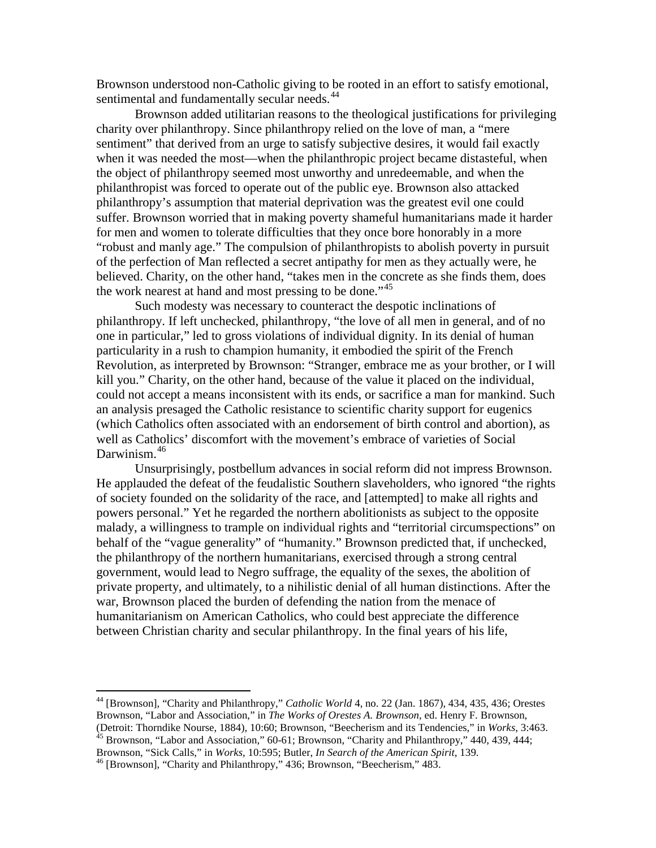Brownson understood non-Catholic giving to be rooted in an effort to satisfy emotional, sentimental and fundamentally secular needs.<sup>[44](#page-23-0)</sup>

Brownson added utilitarian reasons to the theological justifications for privileging charity over philanthropy. Since philanthropy relied on the love of man, a "mere sentiment" that derived from an urge to satisfy subjective desires, it would fail exactly when it was needed the most—when the philanthropic project became distasteful, when the object of philanthropy seemed most unworthy and unredeemable, and when the philanthropist was forced to operate out of the public eye. Brownson also attacked philanthropy's assumption that material deprivation was the greatest evil one could suffer. Brownson worried that in making poverty shameful humanitarians made it harder for men and women to tolerate difficulties that they once bore honorably in a more "robust and manly age." The compulsion of philanthropists to abolish poverty in pursuit of the perfection of Man reflected a secret antipathy for men as they actually were, he believed. Charity, on the other hand, "takes men in the concrete as she finds them, does the work nearest at hand and most pressing to be done."<sup>[45](#page-23-1)</sup>

Such modesty was necessary to counteract the despotic inclinations of philanthropy. If left unchecked, philanthropy, "the love of all men in general, and of no one in particular," led to gross violations of individual dignity. In its denial of human particularity in a rush to champion humanity, it embodied the spirit of the French Revolution, as interpreted by Brownson: "Stranger, embrace me as your brother, or I will kill you." Charity, on the other hand, because of the value it placed on the individual, could not accept a means inconsistent with its ends, or sacrifice a man for mankind. Such an analysis presaged the Catholic resistance to scientific charity support for eugenics (which Catholics often associated with an endorsement of birth control and abortion), as well as Catholics' discomfort with the movement's embrace of varieties of Social Darwinism.<sup>[46](#page-23-2)</sup>

Unsurprisingly, postbellum advances in social reform did not impress Brownson. He applauded the defeat of the feudalistic Southern slaveholders, who ignored "the rights of society founded on the solidarity of the race, and [attempted] to make all rights and powers personal." Yet he regarded the northern abolitionists as subject to the opposite malady, a willingness to trample on individual rights and "territorial circumspections" on behalf of the "vague generality" of "humanity." Brownson predicted that, if unchecked, the philanthropy of the northern humanitarians, exercised through a strong central government, would lead to Negro suffrage, the equality of the sexes, the abolition of private property, and ultimately, to a nihilistic denial of all human distinctions. After the war, Brownson placed the burden of defending the nation from the menace of humanitarianism on American Catholics, who could best appreciate the difference between Christian charity and secular philanthropy. In the final years of his life,

<span id="page-23-0"></span> 44 [Brownson], "Charity and Philanthropy," *Catholic World* 4, no. 22 (Jan. 1867), 434, 435, 436; Orestes Brownson, "Labor and Association," in *The Works of Orestes A. Brownson*, ed. Henry F. Brownson,

<span id="page-23-1"></span><sup>(</sup>Detroit: Thorndike Nourse, 1884), 10:60; Brownson, "Beecherism and its Tendencies," in *Works*, 3:463.<br><sup>45</sup> Brownson, "Labor and Association," 60-61; Brownson, "Charity and Philanthropy," 440, 439, 444;<br>Brownson, "Sick Ca

<span id="page-23-2"></span><sup>&</sup>lt;sup>46</sup> [Brownson], "Charity and Philanthropy," 436; Brownson, "Beecherism," 483.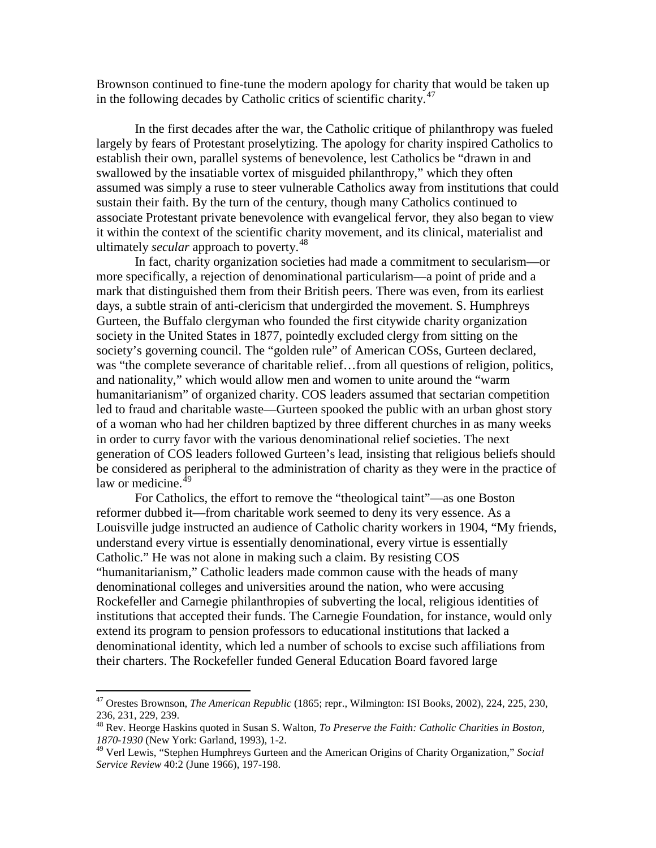Brownson continued to fine-tune the modern apology for charity that would be taken up in the following decades by Catholic critics of scientific charity.[47](#page-24-0)

In the first decades after the war, the Catholic critique of philanthropy was fueled largely by fears of Protestant proselytizing. The apology for charity inspired Catholics to establish their own, parallel systems of benevolence, lest Catholics be "drawn in and swallowed by the insatiable vortex of misguided philanthropy," which they often assumed was simply a ruse to steer vulnerable Catholics away from institutions that could sustain their faith. By the turn of the century, though many Catholics continued to associate Protestant private benevolence with evangelical fervor, they also began to view it within the context of the scientific charity movement, and its clinical, materialist and ultimately *secular* approach to poverty. [48](#page-24-1)

In fact, charity organization societies had made a commitment to secularism—or more specifically, a rejection of denominational particularism—a point of pride and a mark that distinguished them from their British peers. There was even, from its earliest days, a subtle strain of anti-clericism that undergirded the movement. S. Humphreys Gurteen, the Buffalo clergyman who founded the first citywide charity organization society in the United States in 1877, pointedly excluded clergy from sitting on the society's governing council. The "golden rule" of American COSs, Gurteen declared, was "the complete severance of charitable relief…from all questions of religion, politics, and nationality," which would allow men and women to unite around the "warm humanitarianism" of organized charity. COS leaders assumed that sectarian competition led to fraud and charitable waste—Gurteen spooked the public with an urban ghost story of a woman who had her children baptized by three different churches in as many weeks in order to curry favor with the various denominational relief societies. The next generation of COS leaders followed Gurteen's lead, insisting that religious beliefs should be considered as peripheral to the administration of charity as they were in the practice of law or medicine.<sup>[49](#page-24-2)</sup>

For Catholics, the effort to remove the "theological taint"—as one Boston reformer dubbed it—from charitable work seemed to deny its very essence. As a Louisville judge instructed an audience of Catholic charity workers in 1904, "My friends, understand every virtue is essentially denominational, every virtue is essentially Catholic." He was not alone in making such a claim. By resisting COS "humanitarianism," Catholic leaders made common cause with the heads of many denominational colleges and universities around the nation, who were accusing Rockefeller and Carnegie philanthropies of subverting the local, religious identities of institutions that accepted their funds. The Carnegie Foundation, for instance, would only extend its program to pension professors to educational institutions that lacked a denominational identity, which led a number of schools to excise such affiliations from their charters. The Rockefeller funded General Education Board favored large

<span id="page-24-0"></span><sup>&</sup>lt;sup>47</sup> Orestes Brownson, *The American Republic* (1865; repr., Wilmington: ISI Books, 2002), 224, 225, 230, 236, 231, 229, 239.

<span id="page-24-1"></span><sup>&</sup>lt;sup>48</sup> Rev. Heorge Haskins quoted in Susan S. Walton, *To Preserve the Faith: Catholic Charities in Boston, 1870-1930* (New York: Garland, 1993), 1-2.

<span id="page-24-2"></span><sup>49</sup> Verl Lewis, "Stephen Humphreys Gurteen and the American Origins of Charity Organization," *Social Service Review* 40:2 (June 1966), 197-198.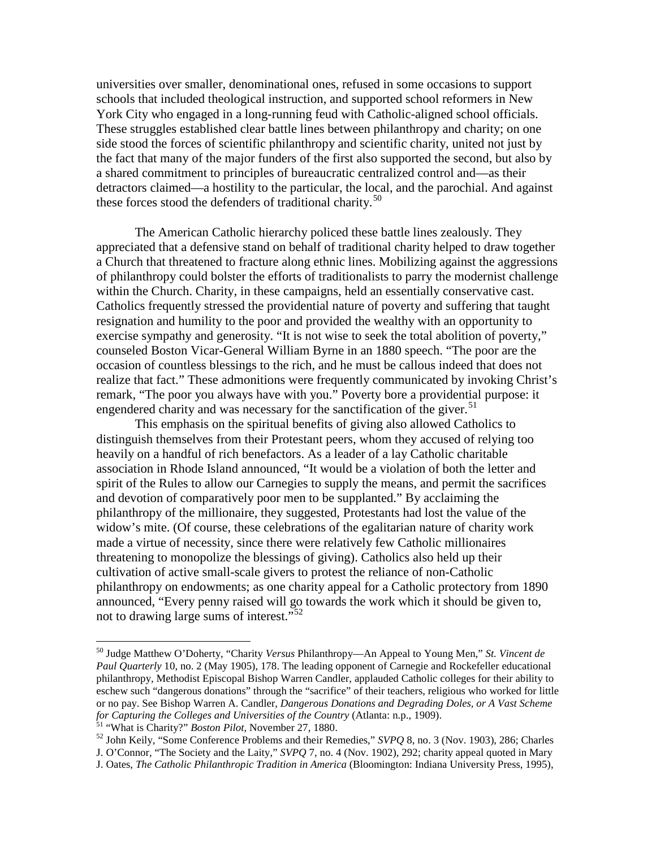universities over smaller, denominational ones, refused in some occasions to support schools that included theological instruction, and supported school reformers in New York City who engaged in a long-running feud with Catholic-aligned school officials. These struggles established clear battle lines between philanthropy and charity; on one side stood the forces of scientific philanthropy and scientific charity, united not just by the fact that many of the major funders of the first also supported the second, but also by a shared commitment to principles of bureaucratic centralized control and—as their detractors claimed—a hostility to the particular, the local, and the parochial. And against these forces stood the defenders of traditional charity.<sup>[50](#page-25-0)</sup>

The American Catholic hierarchy policed these battle lines zealously. They appreciated that a defensive stand on behalf of traditional charity helped to draw together a Church that threatened to fracture along ethnic lines. Mobilizing against the aggressions of philanthropy could bolster the efforts of traditionalists to parry the modernist challenge within the Church. Charity, in these campaigns, held an essentially conservative cast. Catholics frequently stressed the providential nature of poverty and suffering that taught resignation and humility to the poor and provided the wealthy with an opportunity to exercise sympathy and generosity. "It is not wise to seek the total abolition of poverty," counseled Boston Vicar-General William Byrne in an 1880 speech. "The poor are the occasion of countless blessings to the rich, and he must be callous indeed that does not realize that fact." These admonitions were frequently communicated by invoking Christ's remark, "The poor you always have with you." Poverty bore a providential purpose: it engendered charity and was necessary for the sanctification of the giver.<sup>[51](#page-25-1)</sup>

This emphasis on the spiritual benefits of giving also allowed Catholics to distinguish themselves from their Protestant peers, whom they accused of relying too heavily on a handful of rich benefactors. As a leader of a lay Catholic charitable association in Rhode Island announced, "It would be a violation of both the letter and spirit of the Rules to allow our Carnegies to supply the means, and permit the sacrifices and devotion of comparatively poor men to be supplanted." By acclaiming the philanthropy of the millionaire, they suggested, Protestants had lost the value of the widow's mite. (Of course, these celebrations of the egalitarian nature of charity work made a virtue of necessity, since there were relatively few Catholic millionaires threatening to monopolize the blessings of giving). Catholics also held up their cultivation of active small-scale givers to protest the reliance of non-Catholic philanthropy on endowments; as one charity appeal for a Catholic protectory from 1890 announced, "Every penny raised will go towards the work which it should be given to, not to drawing large sums of interest."<sup>[52](#page-26-0)</sup>

<span id="page-25-0"></span> <sup>50</sup> Judge Matthew O'Doherty, "Charity *Versus* Philanthropy—An Appeal to Young Men," *St. Vincent de Paul Quarterly* 10, no. 2 (May 1905), 178. The leading opponent of Carnegie and Rockefeller educational philanthropy, Methodist Episcopal Bishop Warren Candler, applauded Catholic colleges for their ability to eschew such "dangerous donations" through the "sacrifice" of their teachers, religious who worked for little or no pay. See Bishop Warren A. Candler, *Dangerous Donations and Degrading Doles, or A Vast Scheme*  for Capturing the Colleges and Universities of the Country (Atlanta: n.p., 1909).<br><sup>51</sup> "What is Charity?" *Boston Pilot*, November 27, 1880.<br><sup>52</sup> John Keily, "Some Conference Problems and their Remedies," *SVPO* 8, no. 3 (

J. O'Connor, "The Society and the Laity," *SVPQ* 7, no. 4 (Nov. 1902), 292; charity appeal quoted in Mary

<span id="page-25-1"></span>J. Oates, *The Catholic Philanthropic Tradition in America* (Bloomington: Indiana University Press, 1995),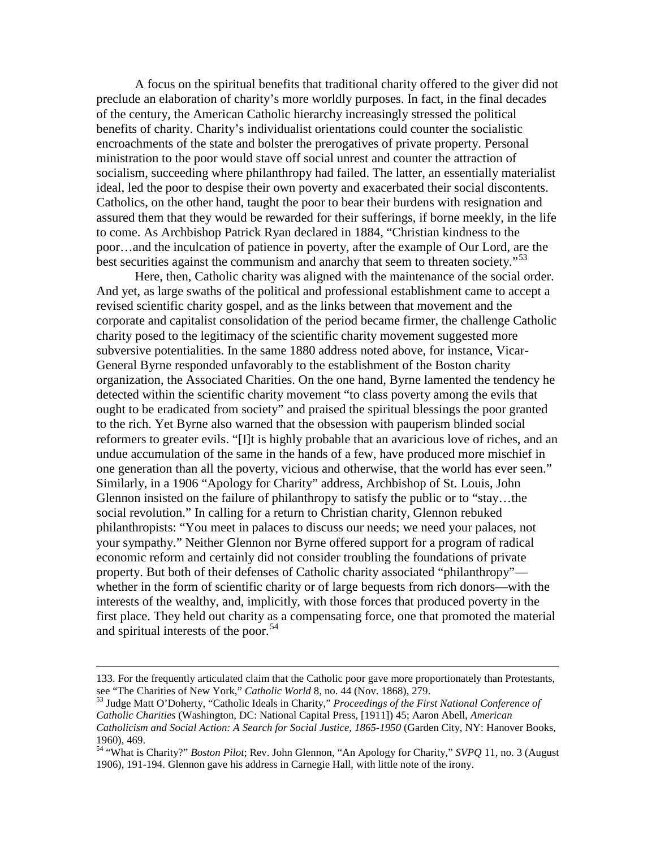A focus on the spiritual benefits that traditional charity offered to the giver did not preclude an elaboration of charity's more worldly purposes. In fact, in the final decades of the century, the American Catholic hierarchy increasingly stressed the political benefits of charity. Charity's individualist orientations could counter the socialistic encroachments of the state and bolster the prerogatives of private property. Personal ministration to the poor would stave off social unrest and counter the attraction of socialism, succeeding where philanthropy had failed. The latter, an essentially materialist ideal, led the poor to despise their own poverty and exacerbated their social discontents. Catholics, on the other hand, taught the poor to bear their burdens with resignation and assured them that they would be rewarded for their sufferings, if borne meekly, in the life to come. As Archbishop Patrick Ryan declared in 1884, "Christian kindness to the poor…and the inculcation of patience in poverty, after the example of Our Lord, are the best securities against the communism and anarchy that seem to threaten society."<sup>[53](#page-26-1)</sup>

Here, then, Catholic charity was aligned with the maintenance of the social order. And yet, as large swaths of the political and professional establishment came to accept a revised scientific charity gospel, and as the links between that movement and the corporate and capitalist consolidation of the period became firmer, the challenge Catholic charity posed to the legitimacy of the scientific charity movement suggested more subversive potentialities. In the same 1880 address noted above, for instance, Vicar-General Byrne responded unfavorably to the establishment of the Boston charity organization, the Associated Charities. On the one hand, Byrne lamented the tendency he detected within the scientific charity movement "to class poverty among the evils that ought to be eradicated from society" and praised the spiritual blessings the poor granted to the rich. Yet Byrne also warned that the obsession with pauperism blinded social reformers to greater evils. "[I]t is highly probable that an avaricious love of riches, and an undue accumulation of the same in the hands of a few, have produced more mischief in one generation than all the poverty, vicious and otherwise, that the world has ever seen." Similarly, in a 1906 "Apology for Charity" address, Archbishop of St. Louis, John Glennon insisted on the failure of philanthropy to satisfy the public or to "stay…the social revolution." In calling for a return to Christian charity, Glennon rebuked philanthropists: "You meet in palaces to discuss our needs; we need your palaces, not your sympathy." Neither Glennon nor Byrne offered support for a program of radical economic reform and certainly did not consider troubling the foundations of private property. But both of their defenses of Catholic charity associated "philanthropy" whether in the form of scientific charity or of large bequests from rich donors—with the interests of the wealthy, and, implicitly, with those forces that produced poverty in the first place. They held out charity as a compensating force, one that promoted the material and spiritual interests of the poor.<sup>[54](#page-27-0)</sup>

 $\overline{a}$ 

<span id="page-26-0"></span><sup>133.</sup> For the frequently articulated claim that the Catholic poor gave more proportionately than Protestants, see "The Charities of New York," *Catholic World* 8, no. 44 (Nov. 1868), 279.

<sup>&</sup>lt;sup>53</sup> Judge Matt O'Doherty, "Catholic Ideals in Charity," *Proceedings of the First National Conference of Catholic Charities* (Washington, DC: National Capital Press, [1911]) 45; Aaron Abell, *American Catholicism and Social Action: A Search for Social Justice, 1865-1950* (Garden City, NY: Hanover Books, 1960), 469.

<span id="page-26-1"></span><sup>54</sup> "What is Charity?" *Boston Pilot*; Rev. John Glennon, "An Apology for Charity," *SVPQ* 11, no. 3 (August 1906), 191-194. Glennon gave his address in Carnegie Hall, with little note of the irony.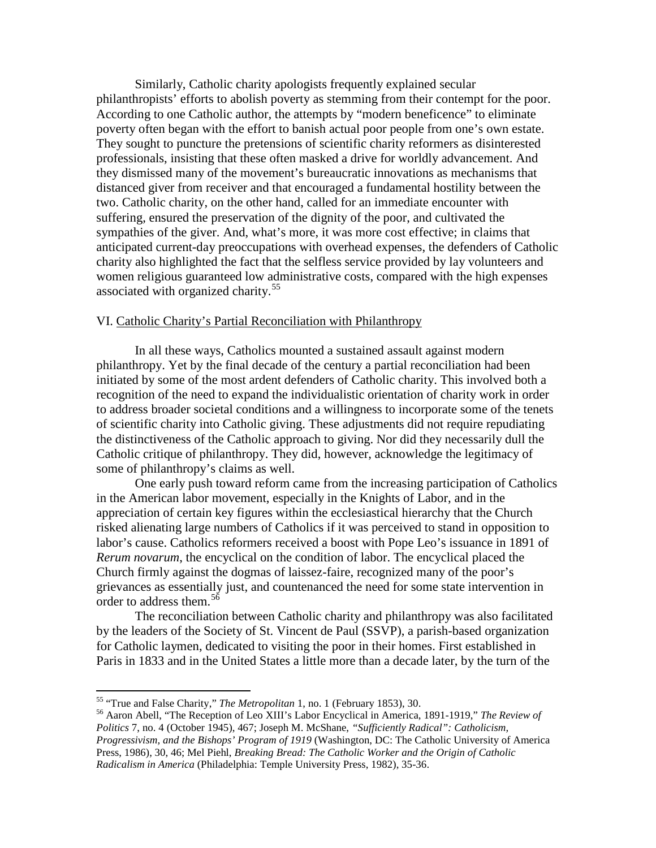Similarly, Catholic charity apologists frequently explained secular philanthropists' efforts to abolish poverty as stemming from their contempt for the poor. According to one Catholic author, the attempts by "modern beneficence" to eliminate poverty often began with the effort to banish actual poor people from one's own estate. They sought to puncture the pretensions of scientific charity reformers as disinterested professionals, insisting that these often masked a drive for worldly advancement. And they dismissed many of the movement's bureaucratic innovations as mechanisms that distanced giver from receiver and that encouraged a fundamental hostility between the two. Catholic charity, on the other hand, called for an immediate encounter with suffering, ensured the preservation of the dignity of the poor, and cultivated the sympathies of the giver. And, what's more, it was more cost effective; in claims that anticipated current-day preoccupations with overhead expenses, the defenders of Catholic charity also highlighted the fact that the selfless service provided by lay volunteers and women religious guaranteed low administrative costs, compared with the high expenses associated with organized charity.<sup>[55](#page-27-1)</sup>

# VI. Catholic Charity's Partial Reconciliation with Philanthropy

In all these ways, Catholics mounted a sustained assault against modern philanthropy. Yet by the final decade of the century a partial reconciliation had been initiated by some of the most ardent defenders of Catholic charity. This involved both a recognition of the need to expand the individualistic orientation of charity work in order to address broader societal conditions and a willingness to incorporate some of the tenets of scientific charity into Catholic giving. These adjustments did not require repudiating the distinctiveness of the Catholic approach to giving. Nor did they necessarily dull the Catholic critique of philanthropy. They did, however, acknowledge the legitimacy of some of philanthropy's claims as well.

One early push toward reform came from the increasing participation of Catholics in the American labor movement, especially in the Knights of Labor, and in the appreciation of certain key figures within the ecclesiastical hierarchy that the Church risked alienating large numbers of Catholics if it was perceived to stand in opposition to labor's cause. Catholics reformers received a boost with Pope Leo's issuance in 1891 of *Rerum novarum*, the encyclical on the condition of labor. The encyclical placed the Church firmly against the dogmas of laissez-faire, recognized many of the poor's grievances as essentially just, and countenanced the need for some state intervention in order to address them.<sup>[56](#page-27-2)</sup>

The reconciliation between Catholic charity and philanthropy was also facilitated by the leaders of the Society of St. Vincent de Paul (SSVP), a parish-based organization for Catholic laymen, dedicated to visiting the poor in their homes. First established in Paris in 1833 and in the United States a little more than a decade later, by the turn of the

<span id="page-27-2"></span><span id="page-27-1"></span><span id="page-27-0"></span><sup>&</sup>lt;sup>55</sup> "True and False Charity," *The Metropolitan* 1, no. 1 (February 1853), 30.<br><sup>56</sup> Aaron Abell, "The Reception of Leo XIII's Labor Encyclical in America, 1891-1919," *The Review of Politics* 7, no. 4 (October 1945), 467; Joseph M. McShane, *"Sufficiently Radical": Catholicism, Progressivism, and the Bishops' Program of 1919* (Washington, DC: The Catholic University of America Press, 1986), 30, 46; Mel Piehl, *Breaking Bread: The Catholic Worker and the Origin of Catholic Radicalism in America* (Philadelphia: Temple University Press, 1982), 35-36.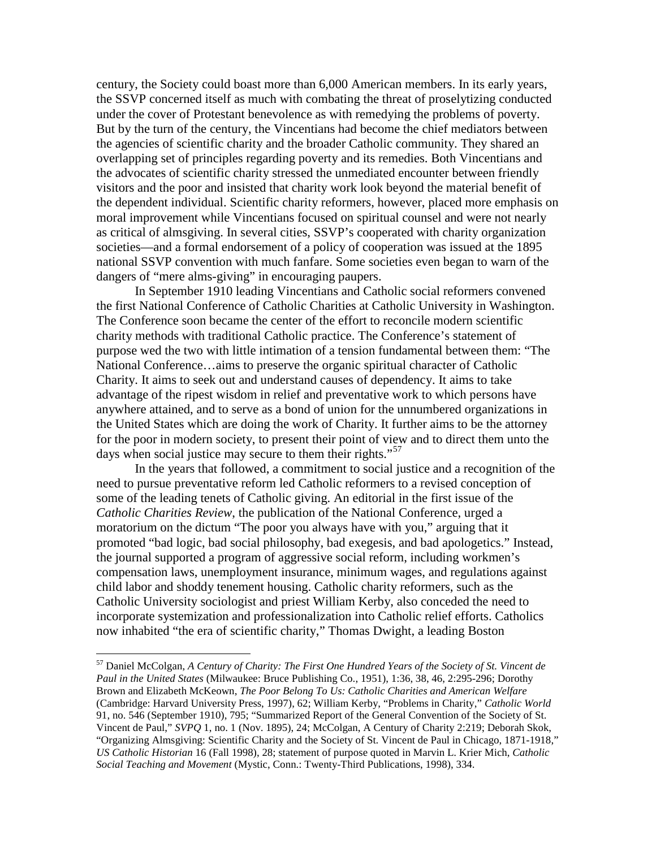century, the Society could boast more than 6,000 American members. In its early years, the SSVP concerned itself as much with combating the threat of proselytizing conducted under the cover of Protestant benevolence as with remedying the problems of poverty. But by the turn of the century, the Vincentians had become the chief mediators between the agencies of scientific charity and the broader Catholic community. They shared an overlapping set of principles regarding poverty and its remedies. Both Vincentians and the advocates of scientific charity stressed the unmediated encounter between friendly visitors and the poor and insisted that charity work look beyond the material benefit of the dependent individual. Scientific charity reformers, however, placed more emphasis on moral improvement while Vincentians focused on spiritual counsel and were not nearly as critical of almsgiving. In several cities, SSVP's cooperated with charity organization societies—and a formal endorsement of a policy of cooperation was issued at the 1895 national SSVP convention with much fanfare. Some societies even began to warn of the dangers of "mere alms-giving" in encouraging paupers.

In September 1910 leading Vincentians and Catholic social reformers convened the first National Conference of Catholic Charities at Catholic University in Washington. The Conference soon became the center of the effort to reconcile modern scientific charity methods with traditional Catholic practice. The Conference's statement of purpose wed the two with little intimation of a tension fundamental between them: "The National Conference…aims to preserve the organic spiritual character of Catholic Charity. It aims to seek out and understand causes of dependency. It aims to take advantage of the ripest wisdom in relief and preventative work to which persons have anywhere attained, and to serve as a bond of union for the unnumbered organizations in the United States which are doing the work of Charity. It further aims to be the attorney for the poor in modern society, to present their point of view and to direct them unto the days when social justice may secure to them their rights."<sup>[57](#page-28-0)</sup>

In the years that followed, a commitment to social justice and a recognition of the need to pursue preventative reform led Catholic reformers to a revised conception of some of the leading tenets of Catholic giving. An editorial in the first issue of the *Catholic Charities Review*, the publication of the National Conference, urged a moratorium on the dictum "The poor you always have with you," arguing that it promoted "bad logic, bad social philosophy, bad exegesis, and bad apologetics." Instead, the journal supported a program of aggressive social reform, including workmen's compensation laws, unemployment insurance, minimum wages, and regulations against child labor and shoddy tenement housing. Catholic charity reformers, such as the Catholic University sociologist and priest William Kerby, also conceded the need to incorporate systemization and professionalization into Catholic relief efforts. Catholics now inhabited "the era of scientific charity," Thomas Dwight, a leading Boston

<span id="page-28-0"></span> <sup>57</sup> Daniel McColgan, *A Century of Charity: The First One Hundred Years of the Society of St. Vincent de Paul in the United States* (Milwaukee: Bruce Publishing Co., 1951), 1:36, 38, 46, 2:295-296; Dorothy Brown and Elizabeth McKeown, *The Poor Belong To Us: Catholic Charities and American Welfare* (Cambridge: Harvard University Press, 1997), 62; William Kerby, "Problems in Charity," *Catholic World*  91, no. 546 (September 1910), 795; "Summarized Report of the General Convention of the Society of St. Vincent de Paul," *SVPQ* 1, no. 1 (Nov. 1895), 24; McColgan, A Century of Charity 2:219; Deborah Skok, "Organizing Almsgiving: Scientific Charity and the Society of St. Vincent de Paul in Chicago, 1871-1918," *US Catholic Historian* 16 (Fall 1998), 28; statement of purpose quoted in Marvin L. Krier Mich, *Catholic Social Teaching and Movement* (Mystic, Conn.: Twenty-Third Publications, 1998), 334.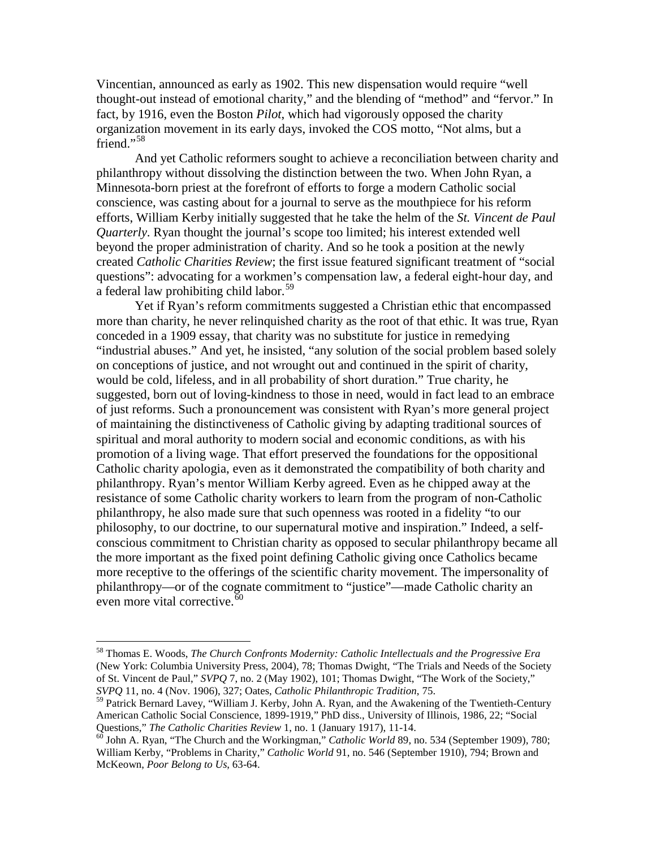Vincentian, announced as early as 1902. This new dispensation would require "well thought-out instead of emotional charity," and the blending of "method" and "fervor." In fact, by 1916, even the Boston *Pilot*, which had vigorously opposed the charity organization movement in its early days, invoked the COS motto, "Not alms, but a friend."<sup>[58](#page-29-0)</sup>

And yet Catholic reformers sought to achieve a reconciliation between charity and philanthropy without dissolving the distinction between the two. When John Ryan, a Minnesota-born priest at the forefront of efforts to forge a modern Catholic social conscience, was casting about for a journal to serve as the mouthpiece for his reform efforts, William Kerby initially suggested that he take the helm of the *St. Vincent de Paul Quarterly*. Ryan thought the journal's scope too limited; his interest extended well beyond the proper administration of charity. And so he took a position at the newly created *Catholic Charities Review*; the first issue featured significant treatment of "social questions": advocating for a workmen's compensation law, a federal eight-hour day, and a federal law prohibiting child labor.<sup>[59](#page-29-1)</sup>

Yet if Ryan's reform commitments suggested a Christian ethic that encompassed more than charity, he never relinquished charity as the root of that ethic. It was true, Ryan conceded in a 1909 essay, that charity was no substitute for justice in remedying "industrial abuses." And yet, he insisted, "any solution of the social problem based solely on conceptions of justice, and not wrought out and continued in the spirit of charity, would be cold, lifeless, and in all probability of short duration." True charity, he suggested, born out of loving-kindness to those in need, would in fact lead to an embrace of just reforms. Such a pronouncement was consistent with Ryan's more general project of maintaining the distinctiveness of Catholic giving by adapting traditional sources of spiritual and moral authority to modern social and economic conditions, as with his promotion of a living wage. That effort preserved the foundations for the oppositional Catholic charity apologia, even as it demonstrated the compatibility of both charity and philanthropy. Ryan's mentor William Kerby agreed. Even as he chipped away at the resistance of some Catholic charity workers to learn from the program of non-Catholic philanthropy, he also made sure that such openness was rooted in a fidelity "to our philosophy, to our doctrine, to our supernatural motive and inspiration." Indeed, a selfconscious commitment to Christian charity as opposed to secular philanthropy became all the more important as the fixed point defining Catholic giving once Catholics became more receptive to the offerings of the scientific charity movement. The impersonality of philanthropy—or of the cognate commitment to "justice"—made Catholic charity an even more vital corrective.<sup> $\bar{6}$ 0</sup>

 <sup>58</sup> Thomas E. Woods, *The Church Confronts Modernity: Catholic Intellectuals and the Progressive Era* (New York: Columbia University Press, 2004), 78; Thomas Dwight, "The Trials and Needs of the Society of St. Vincent de Paul," *SVPQ* 7, no. 2 (May 1902), 101; Thomas Dwight, "The Work of the Society," *SVPQ* 11, no. 4 (Nov. 1906), 327; Oates, *Catholic Philanthropic Tradition*, 75.

<span id="page-29-0"></span><sup>&</sup>lt;sup>59</sup> Patrick Bernard Lavey, "William J. Kerby, John A. Ryan, and the Awakening of the Twentieth-Century American Catholic Social Conscience, 1899-1919," PhD diss., University of Illinois, 1986, 22; "Social Questions," *The Catholic Charities Review* 1, no. 1 (January 1917), 11-14.<br><sup>60</sup> John A. Ryan, "The Church and the Workingman," *Catholic World* 89, no. 534 (September 1909), 780;

<span id="page-29-1"></span>William Kerby, "Problems in Charity," *Catholic World* 91, no. 546 (September 1910), 794; Brown and McKeown, *Poor Belong to Us*, 63-64.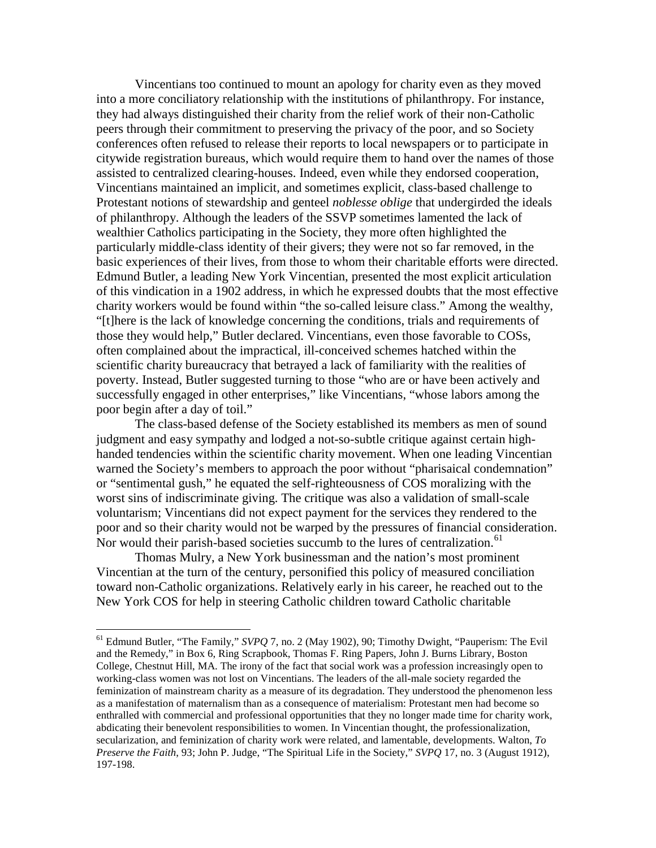Vincentians too continued to mount an apology for charity even as they moved into a more conciliatory relationship with the institutions of philanthropy. For instance, they had always distinguished their charity from the relief work of their non-Catholic peers through their commitment to preserving the privacy of the poor, and so Society conferences often refused to release their reports to local newspapers or to participate in citywide registration bureaus, which would require them to hand over the names of those assisted to centralized clearing-houses. Indeed, even while they endorsed cooperation, Vincentians maintained an implicit, and sometimes explicit, class-based challenge to Protestant notions of stewardship and genteel *noblesse oblige* that undergirded the ideals of philanthropy. Although the leaders of the SSVP sometimes lamented the lack of wealthier Catholics participating in the Society, they more often highlighted the particularly middle-class identity of their givers; they were not so far removed, in the basic experiences of their lives, from those to whom their charitable efforts were directed. Edmund Butler, a leading New York Vincentian, presented the most explicit articulation of this vindication in a 1902 address, in which he expressed doubts that the most effective charity workers would be found within "the so-called leisure class." Among the wealthy, "[t]here is the lack of knowledge concerning the conditions, trials and requirements of those they would help," Butler declared. Vincentians, even those favorable to COSs, often complained about the impractical, ill-conceived schemes hatched within the scientific charity bureaucracy that betrayed a lack of familiarity with the realities of poverty. Instead, Butler suggested turning to those "who are or have been actively and successfully engaged in other enterprises," like Vincentians, "whose labors among the poor begin after a day of toil."

The class-based defense of the Society established its members as men of sound judgment and easy sympathy and lodged a not-so-subtle critique against certain highhanded tendencies within the scientific charity movement. When one leading Vincentian warned the Society's members to approach the poor without "pharisaical condemnation" or "sentimental gush," he equated the self-righteousness of COS moralizing with the worst sins of indiscriminate giving. The critique was also a validation of small-scale voluntarism; Vincentians did not expect payment for the services they rendered to the poor and so their charity would not be warped by the pressures of financial consideration. Nor would their parish-based societies succumb to the lures of centralization.<sup>[61](#page-30-1)</sup>

Thomas Mulry, a New York businessman and the nation's most prominent Vincentian at the turn of the century, personified this policy of measured conciliation toward non-Catholic organizations. Relatively early in his career, he reached out to the New York COS for help in steering Catholic children toward Catholic charitable

<span id="page-30-1"></span><span id="page-30-0"></span> <sup>61</sup> Edmund Butler, "The Family," *SVPQ* 7, no. 2 (May 1902), 90; Timothy Dwight, "Pauperism: The Evil and the Remedy," in Box 6, Ring Scrapbook, Thomas F. Ring Papers, John J. Burns Library, Boston College, Chestnut Hill, MA. The irony of the fact that social work was a profession increasingly open to working-class women was not lost on Vincentians. The leaders of the all-male society regarded the feminization of mainstream charity as a measure of its degradation. They understood the phenomenon less as a manifestation of maternalism than as a consequence of materialism: Protestant men had become so enthralled with commercial and professional opportunities that they no longer made time for charity work, abdicating their benevolent responsibilities to women. In Vincentian thought, the professionalization, secularization, and feminization of charity work were related, and lamentable, developments. Walton, *To Preserve the Faith*, 93; John P. Judge, "The Spiritual Life in the Society," *SVPQ* 17, no. 3 (August 1912), 197-198.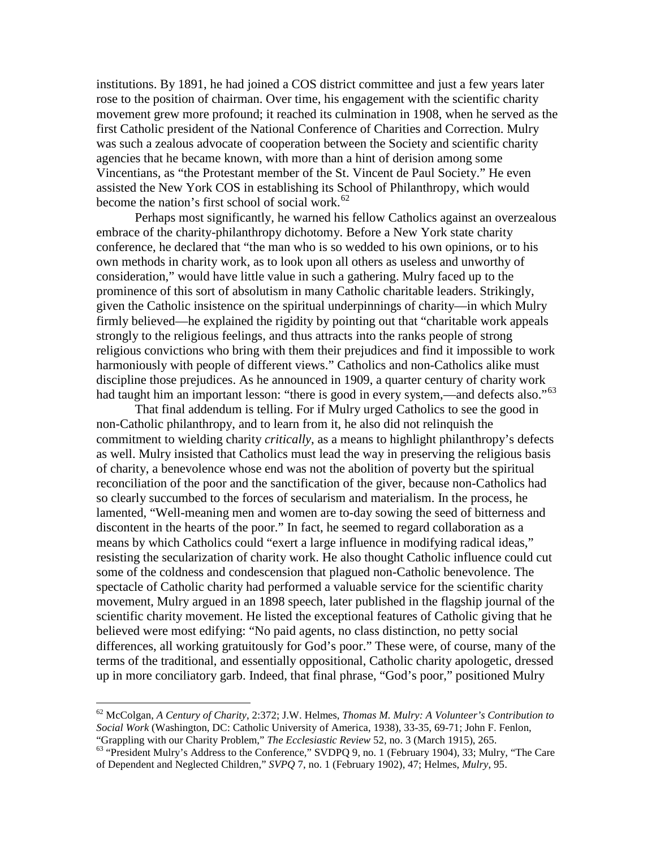institutions. By 1891, he had joined a COS district committee and just a few years later rose to the position of chairman. Over time, his engagement with the scientific charity movement grew more profound; it reached its culmination in 1908, when he served as the first Catholic president of the National Conference of Charities and Correction. Mulry was such a zealous advocate of cooperation between the Society and scientific charity agencies that he became known, with more than a hint of derision among some Vincentians, as "the Protestant member of the St. Vincent de Paul Society." He even assisted the New York COS in establishing its School of Philanthropy, which would become the nation's first school of social work.<sup>[62](#page-31-0)</sup>

Perhaps most significantly, he warned his fellow Catholics against an overzealous embrace of the charity-philanthropy dichotomy. Before a New York state charity conference, he declared that "the man who is so wedded to his own opinions, or to his own methods in charity work, as to look upon all others as useless and unworthy of consideration," would have little value in such a gathering. Mulry faced up to the prominence of this sort of absolutism in many Catholic charitable leaders. Strikingly, given the Catholic insistence on the spiritual underpinnings of charity—in which Mulry firmly believed—he explained the rigidity by pointing out that "charitable work appeals strongly to the religious feelings, and thus attracts into the ranks people of strong religious convictions who bring with them their prejudices and find it impossible to work harmoniously with people of different views." Catholics and non-Catholics alike must discipline those prejudices. As he announced in 1909, a quarter century of charity work had taught him an important lesson: "there is good in every system,—and defects also."<sup>[63](#page-31-1)</sup>

That final addendum is telling. For if Mulry urged Catholics to see the good in non-Catholic philanthropy, and to learn from it, he also did not relinquish the commitment to wielding charity *critically*, as a means to highlight philanthropy's defects as well. Mulry insisted that Catholics must lead the way in preserving the religious basis of charity, a benevolence whose end was not the abolition of poverty but the spiritual reconciliation of the poor and the sanctification of the giver, because non-Catholics had so clearly succumbed to the forces of secularism and materialism. In the process, he lamented, "Well-meaning men and women are to-day sowing the seed of bitterness and discontent in the hearts of the poor." In fact, he seemed to regard collaboration as a means by which Catholics could "exert a large influence in modifying radical ideas," resisting the secularization of charity work. He also thought Catholic influence could cut some of the coldness and condescension that plagued non-Catholic benevolence. The spectacle of Catholic charity had performed a valuable service for the scientific charity movement, Mulry argued in an 1898 speech, later published in the flagship journal of the scientific charity movement. He listed the exceptional features of Catholic giving that he believed were most edifying: "No paid agents, no class distinction, no petty social differences, all working gratuitously for God's poor." These were, of course, many of the terms of the traditional, and essentially oppositional, Catholic charity apologetic, dressed up in more conciliatory garb. Indeed, that final phrase, "God's poor," positioned Mulry

<span id="page-31-0"></span> <sup>62</sup> McColgan, *A Century of Charity*, 2:372; J.W. Helmes, *Thomas M. Mulry: A Volunteer's Contribution to Social Work* (Washington, DC: Catholic University of America, 1938), 33-35, 69-71; John F. Fenlon,

<span id="page-31-1"></span><sup>&</sup>lt;sup>63</sup> "President Mulry's Address to the Conference," *SVDPQ 9*, no. 1 (February 1904), 33; Mulry, "The Care of Dependent and Neglected Children," *SVPQ* 7, no. 1 (February 1902), 47; Helmes, *Mulry*, 95.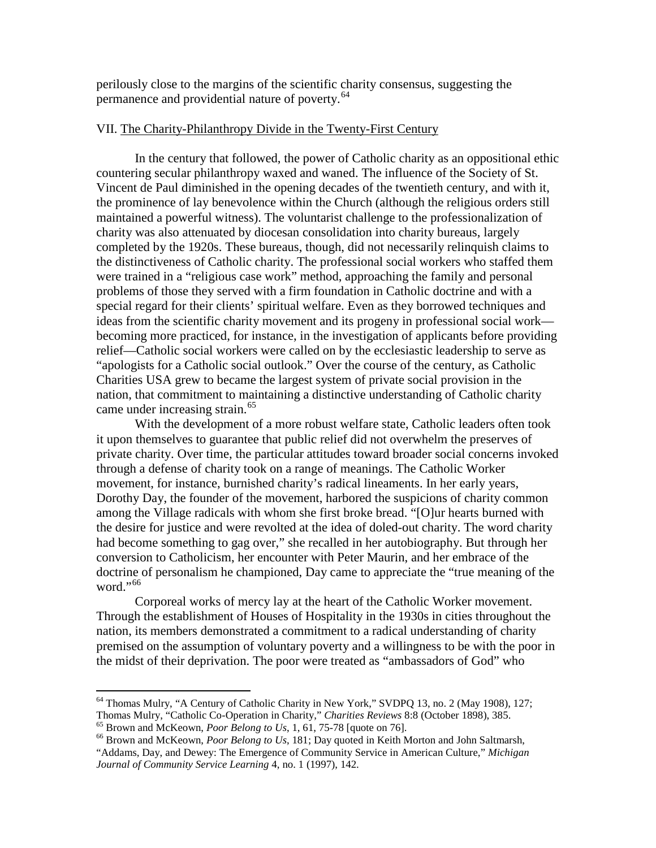perilously close to the margins of the scientific charity consensus, suggesting the permanence and providential nature of poverty.<sup>[64](#page-32-0)</sup>

### VII. The Charity-Philanthropy Divide in the Twenty-First Century

In the century that followed, the power of Catholic charity as an oppositional ethic countering secular philanthropy waxed and waned. The influence of the Society of St. Vincent de Paul diminished in the opening decades of the twentieth century, and with it, the prominence of lay benevolence within the Church (although the religious orders still maintained a powerful witness). The voluntarist challenge to the professionalization of charity was also attenuated by diocesan consolidation into charity bureaus, largely completed by the 1920s. These bureaus, though, did not necessarily relinquish claims to the distinctiveness of Catholic charity. The professional social workers who staffed them were trained in a "religious case work" method, approaching the family and personal problems of those they served with a firm foundation in Catholic doctrine and with a special regard for their clients' spiritual welfare. Even as they borrowed techniques and ideas from the scientific charity movement and its progeny in professional social work becoming more practiced, for instance, in the investigation of applicants before providing relief—Catholic social workers were called on by the ecclesiastic leadership to serve as "apologists for a Catholic social outlook." Over the course of the century, as Catholic Charities USA grew to became the largest system of private social provision in the nation, that commitment to maintaining a distinctive understanding of Catholic charity came under increasing strain.<sup>[65](#page-32-1)</sup>

With the development of a more robust welfare state, Catholic leaders often took it upon themselves to guarantee that public relief did not overwhelm the preserves of private charity. Over time, the particular attitudes toward broader social concerns invoked through a defense of charity took on a range of meanings. The Catholic Worker movement, for instance, burnished charity's radical lineaments. In her early years, Dorothy Day, the founder of the movement, harbored the suspicions of charity common among the Village radicals with whom she first broke bread. "[O]ur hearts burned with the desire for justice and were revolted at the idea of doled-out charity. The word charity had become something to gag over," she recalled in her autobiography. But through her conversion to Catholicism, her encounter with Peter Maurin, and her embrace of the doctrine of personalism he championed, Day came to appreciate the "true meaning of the word."<sup>[66](#page-32-2)</sup>

Corporeal works of mercy lay at the heart of the Catholic Worker movement. Through the establishment of Houses of Hospitality in the 1930s in cities throughout the nation, its members demonstrated a commitment to a radical understanding of charity premised on the assumption of voluntary poverty and a willingness to be with the poor in the midst of their deprivation. The poor were treated as "ambassadors of God" who

<span id="page-32-0"></span> $64$  Thomas Mulry, "A Century of Catholic Charity in New York," SVDPQ 13, no. 2 (May 1908), 127;<br>Thomas Mulry, "Catholic Co-Operation in Charity," *Charities Reviews* 8:8 (October 1898), 385.

<span id="page-32-2"></span><span id="page-32-1"></span><sup>&</sup>lt;sup>65</sup> Brown and McKeown, *Poor Belong to Us*, 1, 61, 75-78 [quote on 76].<br><sup>66</sup> Brown and McKeown, *Poor Belong to Us*, 181; Day quoted in Keith Morton and John Saltmarsh, "Addams, Day, and Dewey: The Emergence of Community Service in American Culture," *Michigan Journal of Community Service Learning* 4, no. 1 (1997), 142.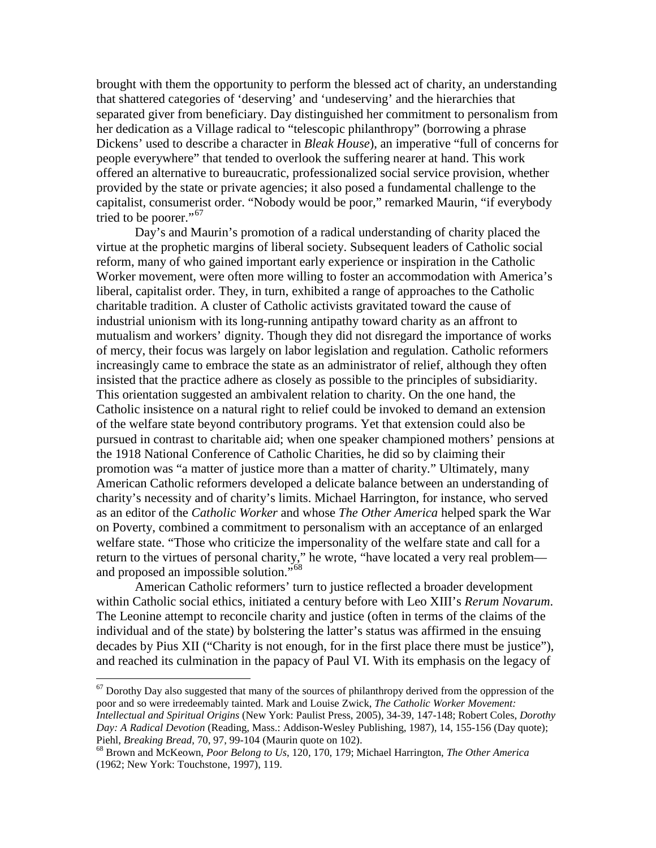brought with them the opportunity to perform the blessed act of charity, an understanding that shattered categories of 'deserving' and 'undeserving' and the hierarchies that separated giver from beneficiary. Day distinguished her commitment to personalism from her dedication as a Village radical to "telescopic philanthropy" (borrowing a phrase Dickens' used to describe a character in *Bleak House*), an imperative "full of concerns for people everywhere" that tended to overlook the suffering nearer at hand. This work offered an alternative to bureaucratic, professionalized social service provision, whether provided by the state or private agencies; it also posed a fundamental challenge to the capitalist, consumerist order. "Nobody would be poor," remarked Maurin, "if everybody tried to be poorer."<sup>[67](#page-33-0)</sup>

Day's and Maurin's promotion of a radical understanding of charity placed the virtue at the prophetic margins of liberal society. Subsequent leaders of Catholic social reform, many of who gained important early experience or inspiration in the Catholic Worker movement, were often more willing to foster an accommodation with America's liberal, capitalist order. They, in turn, exhibited a range of approaches to the Catholic charitable tradition. A cluster of Catholic activists gravitated toward the cause of industrial unionism with its long-running antipathy toward charity as an affront to mutualism and workers' dignity. Though they did not disregard the importance of works of mercy, their focus was largely on labor legislation and regulation. Catholic reformers increasingly came to embrace the state as an administrator of relief, although they often insisted that the practice adhere as closely as possible to the principles of subsidiarity. This orientation suggested an ambivalent relation to charity. On the one hand, the Catholic insistence on a natural right to relief could be invoked to demand an extension of the welfare state beyond contributory programs. Yet that extension could also be pursued in contrast to charitable aid; when one speaker championed mothers' pensions at the 1918 National Conference of Catholic Charities, he did so by claiming their promotion was "a matter of justice more than a matter of charity." Ultimately, many American Catholic reformers developed a delicate balance between an understanding of charity's necessity and of charity's limits. Michael Harrington, for instance, who served as an editor of the *Catholic Worker* and whose *The Other America* helped spark the War on Poverty, combined a commitment to personalism with an acceptance of an enlarged welfare state. "Those who criticize the impersonality of the welfare state and call for a return to the virtues of personal charity," he wrote, "have located a very real problem— and proposed an impossible solution."<sup>[68](#page-33-1)</sup>

American Catholic reformers' turn to justice reflected a broader development within Catholic social ethics, initiated a century before with Leo XIII's *Rerum Novarum*. The Leonine attempt to reconcile charity and justice (often in terms of the claims of the individual and of the state) by bolstering the latter's status was affirmed in the ensuing decades by Pius XII ("Charity is not enough, for in the first place there must be justice"), and reached its culmination in the papacy of Paul VI. With its emphasis on the legacy of

<span id="page-33-0"></span> $67$  Dorothy Day also suggested that many of the sources of philanthropy derived from the oppression of the poor and so were irredeemably tainted. Mark and Louise Zwick, *The Catholic Worker Movement: Intellectual and Spiritual Origins* (New York: Paulist Press, 2005), 34-39, 147-148; Robert Coles, *Dorothy Day: A Radical Devotion* (Reading, Mass.: Addison-Wesley Publishing, 1987), 14, 155-156 (Day quote); Piehl, *Breaking Bread*, 70, 97, 99-104 (Maurin quote on 102). <sup>68</sup> Brown and McKeown, *Poor Belong to Us*, 120, 170, 179; Michael Harrington, *The Other America*

<span id="page-33-1"></span><sup>(1962;</sup> New York: Touchstone, 1997), 119.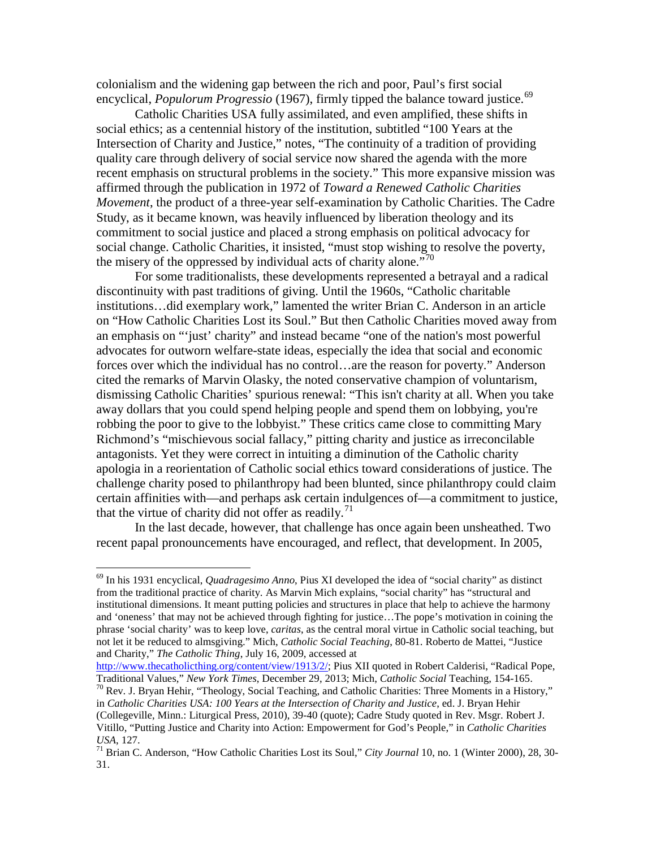colonialism and the widening gap between the rich and poor, Paul's first social encyclical, *Populorum Progressio* (1967), firmly tipped the balance toward justice.<sup>[69](#page-34-0)</sup>

Catholic Charities USA fully assimilated, and even amplified, these shifts in social ethics; as a centennial history of the institution, subtitled "100 Years at the Intersection of Charity and Justice," notes, "The continuity of a tradition of providing quality care through delivery of social service now shared the agenda with the more recent emphasis on structural problems in the society." This more expansive mission was affirmed through the publication in 1972 of *Toward a Renewed Catholic Charities Movement*, the product of a three-year self-examination by Catholic Charities. The Cadre Study, as it became known, was heavily influenced by liberation theology and its commitment to social justice and placed a strong emphasis on political advocacy for social change. Catholic Charities, it insisted, "must stop wishing to resolve the poverty, the misery of the oppressed by individual acts of charity alone.<sup> $70$ </sup>

For some traditionalists, these developments represented a betrayal and a radical discontinuity with past traditions of giving. Until the 1960s, "Catholic charitable institutions…did exemplary work," lamented the writer Brian C. Anderson in an article on "How Catholic Charities Lost its Soul." But then Catholic Charities moved away from an emphasis on "'just' charity" and instead became "one of the nation's most powerful advocates for outworn welfare-state ideas, especially the idea that social and economic forces over which the individual has no control…are the reason for poverty." Anderson cited the remarks of Marvin Olasky, the noted conservative champion of voluntarism, dismissing Catholic Charities' spurious renewal: "This isn't charity at all. When you take away dollars that you could spend helping people and spend them on lobbying, you're robbing the poor to give to the lobbyist." These critics came close to committing Mary Richmond's "mischievous social fallacy," pitting charity and justice as irreconcilable antagonists. Yet they were correct in intuiting a diminution of the Catholic charity apologia in a reorientation of Catholic social ethics toward considerations of justice. The challenge charity posed to philanthropy had been blunted, since philanthropy could claim certain affinities with—and perhaps ask certain indulgences of—a commitment to justice, that the virtue of charity did not offer as readily.<sup>[71](#page-35-0)</sup>

In the last decade, however, that challenge has once again been unsheathed. Two recent papal pronouncements have encouraged, and reflect, that development. In 2005,

<span id="page-34-0"></span> <sup>69</sup> In his 1931 encyclical, *Quadragesimo Anno*, Pius XI developed the idea of "social charity" as distinct from the traditional practice of charity. As Marvin Mich explains, "social charity" has "structural and institutional dimensions. It meant putting policies and structures in place that help to achieve the harmony and 'oneness' that may not be achieved through fighting for justice…The pope's motivation in coining the phrase 'social charity' was to keep love, *caritas*, as the central moral virtue in Catholic social teaching, but not let it be reduced to almsgiving." Mich, *Catholic Social Teaching*, 80-81. Roberto de Mattei, "Justice and Charity," *The Catholic Thing*, July 16, 2009, accessed at

[http://www.thecatholicthing.org/content/view/1913/2/;](http://www.thecatholicthing.org/content/view/1913/2/) Pius XII quoted in Robert Calderisi, "Radical Pope,<br>Traditional Values," New York Times, December 29, 2013; Mich, *Catholic Social* Teaching, 154-165.

<span id="page-34-1"></span><sup>&</sup>lt;sup>70</sup> Rev. J. Bryan Hehir, "Theology, Social Teaching, and Catholic Charities: Three Moments in a History," in *Catholic Charities USA: 100 Years at the Intersection of Charity and Justice*, ed. J. Bryan Hehir (Collegeville, Minn.: Liturgical Press, 2010), 39-40 (quote); Cadre Study quoted in Rev. Msgr. Robert J. Vitillo, "Putting Justice and Charity into Action: Empowerment for God's People," in *Catholic Charities USA*, 127.<br><sup>71</sup> Brian C. Anderson, "How Catholic Charities Lost its Soul," *City Journal* 10, no. 1 (Winter 2000), 28, 30-

<sup>31.</sup>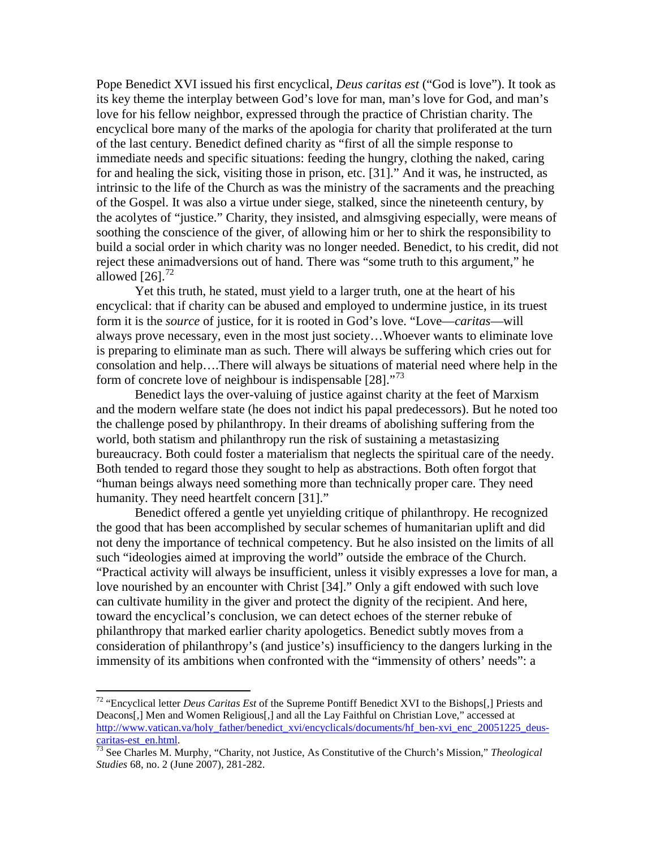Pope Benedict XVI issued his first encyclical, *Deus caritas est* ("God is love"). It took as its key theme the interplay between God's love for man, man's love for God, and man's love for his fellow neighbor, expressed through the practice of Christian charity. The encyclical bore many of the marks of the apologia for charity that proliferated at the turn of the last century. Benedict defined charity as "first of all the simple response to immediate needs and specific situations: feeding the hungry, clothing the naked, caring for and healing the sick, visiting those in prison, etc. [31]." And it was, he instructed, as intrinsic to the life of the Church as was the ministry of the sacraments and the preaching of the Gospel. It was also a virtue under siege, stalked, since the nineteenth century, by the acolytes of "justice." Charity, they insisted, and almsgiving especially, were means of soothing the conscience of the giver, of allowing him or her to shirk the responsibility to build a social order in which charity was no longer needed. Benedict, to his credit, did not reject these animadversions out of hand. There was "some truth to this argument," he allowed  $[26]$ <sup>[72](#page-35-1)</sup>

Yet this truth, he stated, must yield to a larger truth, one at the heart of his encyclical: that if charity can be abused and employed to undermine justice, in its truest form it is the *source* of justice, for it is rooted in God's love. "Love—*caritas*—will always prove necessary, even in the most just society…Whoever wants to eliminate love is preparing to eliminate man as such. There will always be suffering which cries out for consolation and help….There will always be situations of material need where help in the form of concrete love of neighbour is indispensable [28]."[73](#page-35-2)

Benedict lays the over-valuing of justice against charity at the feet of Marxism and the modern welfare state (he does not indict his papal predecessors). But he noted too the challenge posed by philanthropy. In their dreams of abolishing suffering from the world, both statism and philanthropy run the risk of sustaining a metastasizing bureaucracy. Both could foster a materialism that neglects the spiritual care of the needy. Both tended to regard those they sought to help as abstractions. Both often forgot that "human beings always need something more than technically proper care. They need humanity. They need heartfelt concern [31]."

Benedict offered a gentle yet unyielding critique of philanthropy. He recognized the good that has been accomplished by secular schemes of humanitarian uplift and did not deny the importance of technical competency. But he also insisted on the limits of all such "ideologies aimed at improving the world" outside the embrace of the Church. "Practical activity will always be insufficient, unless it visibly expresses a love for man, a love nourished by an encounter with Christ [34]." Only a gift endowed with such love can cultivate humility in the giver and protect the dignity of the recipient. And here, toward the encyclical's conclusion, we can detect echoes of the sterner rebuke of philanthropy that marked earlier charity apologetics. Benedict subtly moves from a consideration of philanthropy's (and justice's) insufficiency to the dangers lurking in the immensity of its ambitions when confronted with the "immensity of others' needs": a

<span id="page-35-1"></span><span id="page-35-0"></span> <sup>72</sup> "Encyclical letter *Deus Caritas Est* of the Supreme Pontiff Benedict XVI to the Bishops[,] Priests and Deacons[,] Men and Women Religious[,] and all the Lay Faithful on Christian Love," accessed at [http://www.vatican.va/holy\\_father/benedict\\_xvi/encyclicals/documents/hf\\_ben-xvi\\_enc\\_20051225\\_deus](http://www.vatican.va/holy_father/benedict_xvi/encyclicals/documents/hf_ben-xvi_enc_20051225_deus-caritas-est_en.html)[caritas-est\\_en.html.](http://www.vatican.va/holy_father/benedict_xvi/encyclicals/documents/hf_ben-xvi_enc_20051225_deus-caritas-est_en.html) [73](http://www.vatican.va/holy_father/benedict_xvi/encyclicals/documents/hf_ben-xvi_enc_20051225_deus-caritas-est_en.html) See Charles M. Murphy, "Charity, not Justice, As Constitutive of the Church's Mission," *Theological* 

<span id="page-35-2"></span>*Studies* 68, no. 2 (June 2007), 281-282.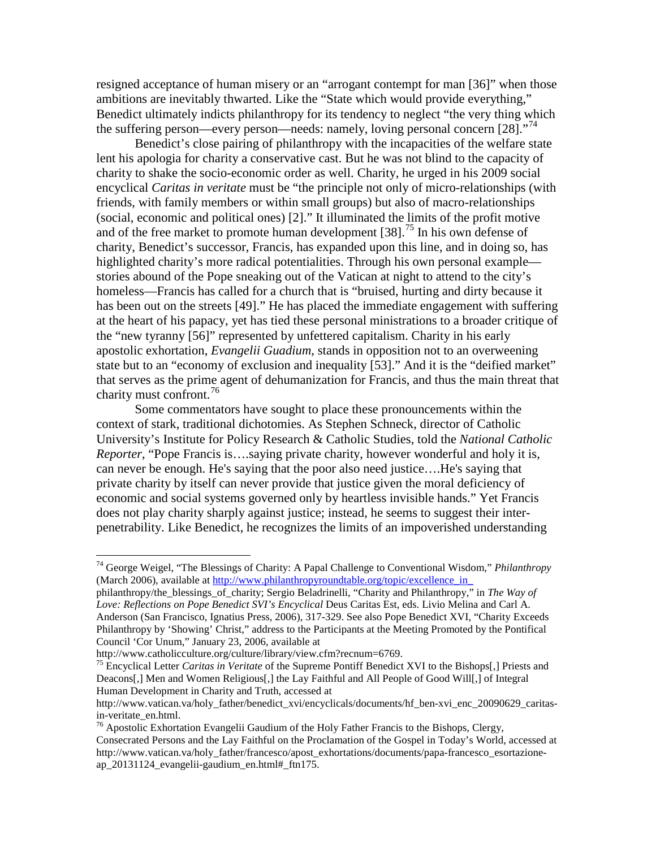resigned acceptance of human misery or an "arrogant contempt for man [36]" when those ambitions are inevitably thwarted. Like the "State which would provide everything," Benedict ultimately indicts philanthropy for its tendency to neglect "the very thing which the suffering person—every person—needs: namely, loving personal concern  $[28]$ ."<sup>[74](#page-36-0)</sup>

Benedict's close pairing of philanthropy with the incapacities of the welfare state lent his apologia for charity a conservative cast. But he was not blind to the capacity of charity to shake the socio-economic order as well. Charity, he urged in his 2009 social encyclical *Caritas in veritate* must be "the principle not only of micro-relationships (with friends, with family members or within small groups) but also of macro-relationships (social, economic and political ones) [2]." It illuminated the limits of the profit motive and of the free market to promote human development [38]. [75](#page-36-1) In his own defense of charity, Benedict's successor, Francis, has expanded upon this line, and in doing so, has highlighted charity's more radical potentialities. Through his own personal example stories abound of the Pope sneaking out of the Vatican at night to attend to the city's homeless—Francis has called for a church that is "bruised, hurting and dirty because it has been out on the streets [49]." He has placed the immediate engagement with suffering at the heart of his papacy, yet has tied these personal ministrations to a broader critique of the "new tyranny [56]" represented by unfettered capitalism. Charity in his early apostolic exhortation, *Evangelii Guadium*, stands in opposition not to an overweening state but to an "economy of exclusion and inequality [53]." And it is the "deified market" that serves as the prime agent of dehumanization for Francis, and thus the main threat that charity must confront.<sup>[76](#page-36-2)</sup>

Some commentators have sought to place these pronouncements within the context of stark, traditional dichotomies. As Stephen Schneck, director of Catholic University's Institute for Policy Research & Catholic Studies, told the *National Catholic Reporter*, "Pope Francis is….saying private charity, however wonderful and holy it is, can never be enough. He's saying that the poor also need justice….He's saying that private charity by itself can never provide that justice given the moral deficiency of economic and social systems governed only by heartless invisible hands." Yet Francis does not play charity sharply against justice; instead, he seems to suggest their interpenetrability. Like Benedict, he recognizes the limits of an impoverished understanding

<span id="page-36-0"></span> <sup>74</sup> George Weigel, "The Blessings of Charity: A Papal Challenge to Conventional Wisdom," *Philanthropy*  (March 2006), available a[t http://www.philanthropyroundtable.org/topic/excellence\\_in\\_](http://www.philanthropyroundtable.org/topic/excellence_in_)

philanthropy/the\_blessings\_of\_charity; Sergio Beladrinelli, "Charity and Philanthropy," in *The Way of Love: Reflections on Pope Benedict SVI's Encyclical* Deus Caritas Est, eds. Livio Melina and Carl A. Anderson (San Francisco, Ignatius Press, 2006), 317-329. See also Pope Benedict XVI, "Charity Exceeds Philanthropy by 'Showing' Christ," address to the Participants at the Meeting Promoted by the Pontifical Council 'Cor Unum," January 23, 2006, available at http://www.catholicculture.org/culture/library/view.cfm?recnum=6769.

<span id="page-36-1"></span><sup>&</sup>lt;sup>75</sup> Encyclical Letter *Caritas in Veritate* of the Supreme Pontiff Benedict XVI to the Bishops[,] Priests and Deacons[,] Men and Women Religious[,] the Lay Faithful and All People of Good Will[,] of Integral Human Development in Charity and Truth, accessed at

http://www.vatican.va/holy\_father/benedict\_xvi/encyclicals/documents/hf\_ben-xvi\_enc\_20090629\_caritasin-veritate\_en.html.<br><sup>76</sup> Apostolic Exhortation Evangelii Gaudium of the Holy Father Francis to the Bishops, Clergy,

<span id="page-36-2"></span>

Consecrated Persons and the Lay Faithful on the Proclamation of the Gospel in Today's World, accessed at http://www.vatican.va/holy\_father/francesco/apost\_exhortations/documents/papa-francesco\_esortazioneap\_20131124\_evangelii-gaudium\_en.html#\_ftn175.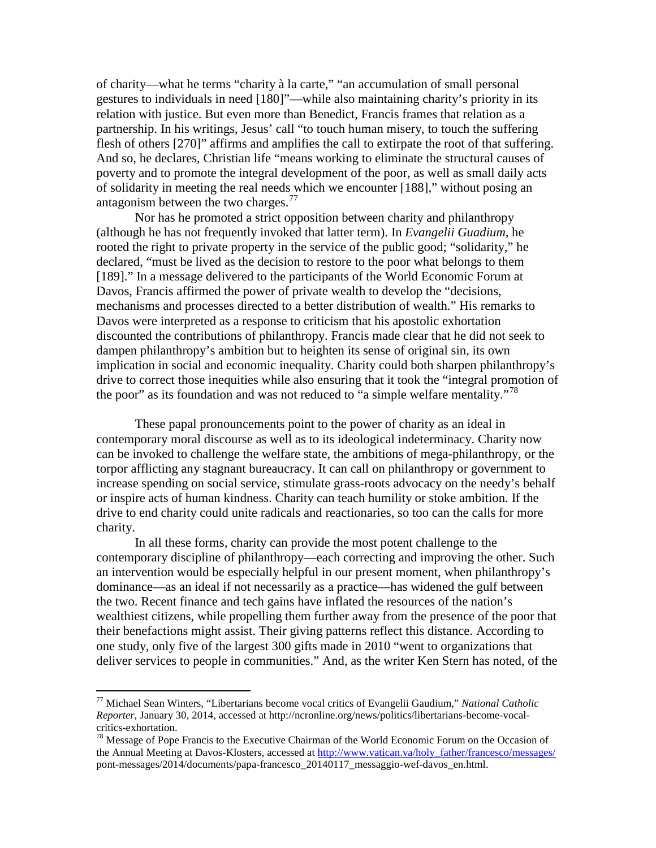of charity—what he terms "charity à la carte," "an accumulation of small personal gestures to individuals in need [180]"—while also maintaining charity's priority in its relation with justice. But even more than Benedict, Francis frames that relation as a partnership. In his writings, Jesus' call "to touch human misery, to touch the suffering flesh of others [270]" affirms and amplifies the call to extirpate the root of that suffering. And so, he declares, Christian life "means working to eliminate the structural causes of poverty and to promote the integral development of the poor, as well as small daily acts of solidarity in meeting the real needs which we encounter [188]," without posing an antagonism between the two charges.<sup>[77](#page-37-0)</sup>

Nor has he promoted a strict opposition between charity and philanthropy (although he has not frequently invoked that latter term). In *Evangelii Guadium*, he rooted the right to private property in the service of the public good; "solidarity," he declared, "must be lived as the decision to restore to the poor what belongs to them [189]." In a message delivered to the participants of the World Economic Forum at Davos, Francis affirmed the power of private wealth to develop the "decisions, mechanisms and processes directed to a better distribution of wealth." His remarks to Davos were interpreted as a response to criticism that his apostolic exhortation discounted the contributions of philanthropy. Francis made clear that he did not seek to dampen philanthropy's ambition but to heighten its sense of original sin, its own implication in social and economic inequality. Charity could both sharpen philanthropy's drive to correct those inequities while also ensuring that it took the "integral promotion of the poor" as its foundation and was not reduced to "a simple welfare mentality."<sup>[78](#page-37-1)</sup>

These papal pronouncements point to the power of charity as an ideal in contemporary moral discourse as well as to its ideological indeterminacy. Charity now can be invoked to challenge the welfare state, the ambitions of mega-philanthropy, or the torpor afflicting any stagnant bureaucracy. It can call on philanthropy or government to increase spending on social service, stimulate grass-roots advocacy on the needy's behalf or inspire acts of human kindness. Charity can teach humility or stoke ambition. If the drive to end charity could unite radicals and reactionaries, so too can the calls for more charity.

In all these forms, charity can provide the most potent challenge to the contemporary discipline of philanthropy—each correcting and improving the other. Such an intervention would be especially helpful in our present moment, when philanthropy's dominance—as an ideal if not necessarily as a practice—has widened the gulf between the two. Recent finance and tech gains have inflated the resources of the nation's wealthiest citizens, while propelling them further away from the presence of the poor that their benefactions might assist. Their giving patterns reflect this distance. According to one study, only five of the largest 300 gifts made in 2010 "went to organizations that deliver services to people in communities." And, as the writer Ken Stern has noted, of the

<span id="page-37-0"></span> <sup>77</sup> Michael Sean Winters, "Libertarians become vocal critics of Evangelii Gaudium," *National Catholic Reporter*, January 30, 2014, accessed at http://ncronline.org/news/politics/libertarians-become-vocal-

<span id="page-37-1"></span> $^{78}$  Message of Pope Francis to the Executive Chairman of the World Economic Forum on the Occasion of the Annual Meeting at Davos-Klosters, accessed a[t http://www.vatican.va/holy\\_father/francesco/messages/](http://www.vatican.va/holy_father/francesco/messages/) pont-messages/2014/documents/papa-francesco\_20140117\_messaggio-wef-davos\_en.html.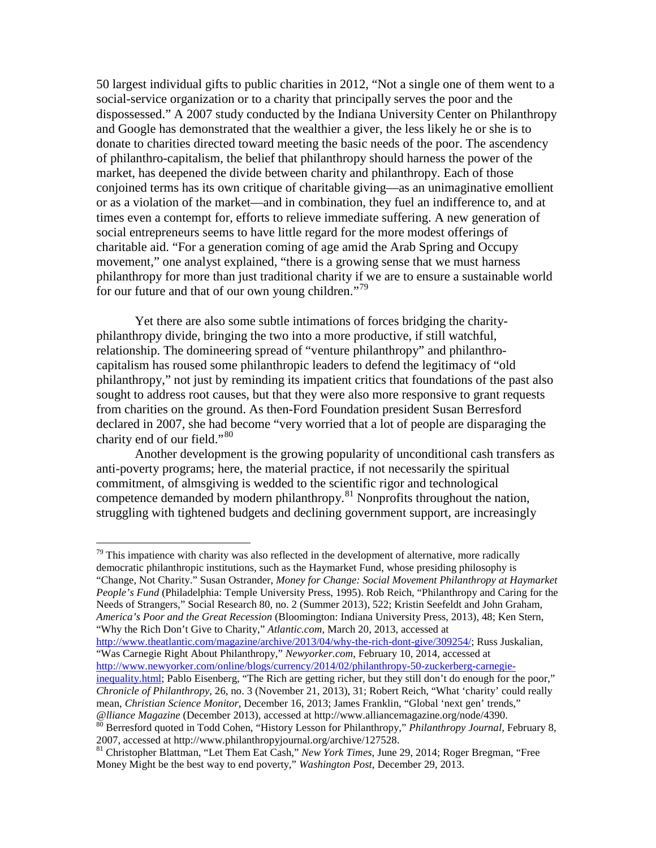50 largest individual gifts to public charities in 2012, "Not a single one of them went to a social-service organization or to a charity that principally serves the poor and the dispossessed." A 2007 study conducted by the Indiana University Center on Philanthropy and Google has demonstrated that the wealthier a giver, the less likely he or she is to donate to charities directed toward meeting the basic needs of the poor. The ascendency of philanthro-capitalism, the belief that philanthropy should harness the power of the market, has deepened the divide between charity and philanthropy. Each of those conjoined terms has its own critique of charitable giving—as an unimaginative emollient or as a violation of the market—and in combination, they fuel an indifference to, and at times even a contempt for, efforts to relieve immediate suffering. A new generation of social entrepreneurs seems to have little regard for the more modest offerings of charitable aid. "For a generation coming of age amid the Arab Spring and Occupy movement," one analyst explained, "there is a growing sense that we must harness philanthropy for more than just traditional charity if we are to ensure a sustainable world for our future and that of our own young children."<sup>[79](#page-38-0)</sup>

Yet there are also some subtle intimations of forces bridging the charityphilanthropy divide, bringing the two into a more productive, if still watchful, relationship. The domineering spread of "venture philanthropy" and philanthrocapitalism has roused some philanthropic leaders to defend the legitimacy of "old philanthropy," not just by reminding its impatient critics that foundations of the past also sought to address root causes, but that they were also more responsive to grant requests from charities on the ground. As then-Ford Foundation president Susan Berresford declared in 2007, she had become "very worried that a lot of people are disparaging the charity end of our field."<sup>[80](#page-38-1)</sup>

Another development is the growing popularity of unconditional cash transfers as anti-poverty programs; here, the material practice, if not necessarily the spiritual commitment, of almsgiving is wedded to the scientific rigor and technological competence demanded by modern philanthropy.<sup>[81](#page-39-0)</sup> Nonprofits throughout the nation, struggling with tightened budgets and declining government support, are increasingly

<span id="page-38-0"></span> $79$  This impatience with charity was also reflected in the development of alternative, more radically democratic philanthropic institutions, such as the Haymarket Fund, whose presiding philosophy is "Change, Not Charity." Susan Ostrander, *Money for Change: Social Movement Philanthropy at Haymarket People's Fund* (Philadelphia: Temple University Press, 1995). Rob Reich, "Philanthropy and Caring for the Needs of Strangers," Social Research 80, no. 2 (Summer 2013), 522; Kristin Seefeldt and John Graham, *America's Poor and the Great Recession* (Bloomington: Indiana University Press, 2013), 48; Ken Stern, "Why the Rich Don't Give to Charity," *Atlantic.com*, March 20, 2013, accessed at

[http://www.theatlantic.com/magazine/archive/2013/04/why-the-rich-dont-give/309254/;](http://www.theatlantic.com/magazine/archive/2013/04/why-the-rich-dont-give/309254/) Russ Juskalian, "Was Carnegie Right About Philanthropy," *Newyorker.com*, February 10, 2014, accessed at

[http://www.newyorker.com/online/blogs/currency/2014/02/philanthropy-50-zuckerberg-carnegie](http://www.newyorker.com/online/blogs/currency/2014/02/philanthropy-50-zuckerberg-carnegie-inequality.html)[inequality.html;](http://www.newyorker.com/online/blogs/currency/2014/02/philanthropy-50-zuckerberg-carnegie-inequality.html) Pablo Eisenberg, "The Rich are getting richer, but they still don't do enough for the poor," *Chronicle of Philanthropy*, 26, no. 3 (November 21, 2013), 31; Robert Reich, "What 'charity' could really mean, *Christian Science Monitor*, December 16, 2013; James Franklin, "Global 'next gen' trends," *@lliance Magazine* (December 2013), accessed at http://www.alliancemagazine.org/node/4390.<br><sup>80</sup> Berresford quoted in Todd Cohen, "History Lesson for Philanthropy," *Philanthropy Journal*, February 8,

<sup>2007,</sup> accessed at http://www.philanthropyjournal.org/archive/127528. <sup>81</sup> Christopher Blattman, "Let Them Eat Cash," *New York Times*, June 29, 2014; Roger Bregman, "Free

<span id="page-38-1"></span>Money Might be the best way to end poverty," *Washington Post*, December 29, 2013.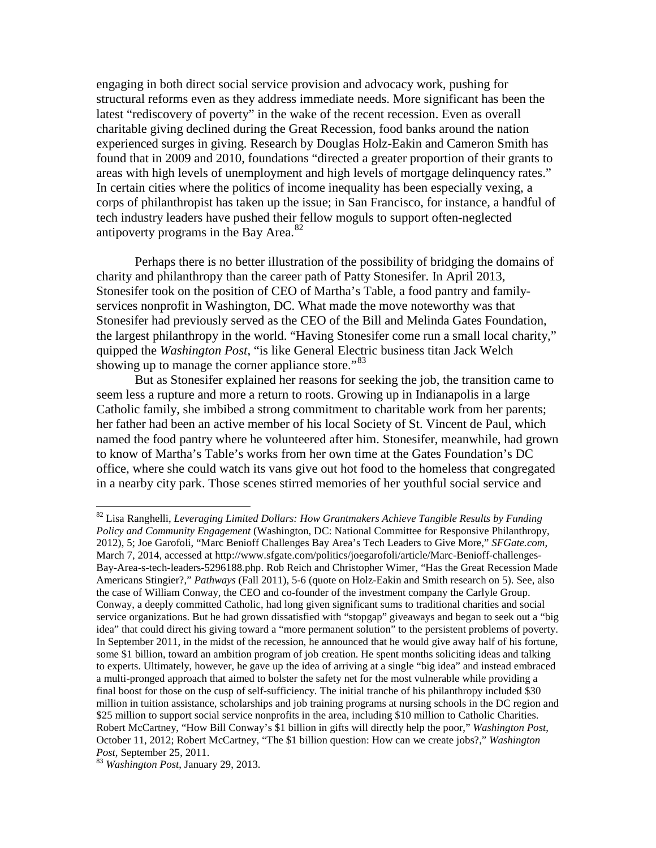engaging in both direct social service provision and advocacy work, pushing for structural reforms even as they address immediate needs. More significant has been the latest "rediscovery of poverty" in the wake of the recent recession. Even as overall charitable giving declined during the Great Recession, food banks around the nation experienced surges in giving. Research by Douglas Holz-Eakin and Cameron Smith has found that in 2009 and 2010, foundations "directed a greater proportion of their grants to areas with high levels of unemployment and high levels of mortgage delinquency rates." In certain cities where the politics of income inequality has been especially vexing, a corps of philanthropist has taken up the issue; in San Francisco, for instance, a handful of tech industry leaders have pushed their fellow moguls to support often-neglected antipoverty programs in the Bay Area. $82$ 

Perhaps there is no better illustration of the possibility of bridging the domains of charity and philanthropy than the career path of Patty Stonesifer. In April 2013, Stonesifer took on the position of CEO of Martha's Table, a food pantry and familyservices nonprofit in Washington, DC. What made the move noteworthy was that Stonesifer had previously served as the CEO of the Bill and Melinda Gates Foundation, the largest philanthropy in the world. "Having Stonesifer come run a small local charity," quipped the *Washington Post*, "is like General Electric business titan Jack Welch showing up to manage the corner appliance store."<sup>[83](#page-39-2)</sup>

But as Stonesifer explained her reasons for seeking the job, the transition came to seem less a rupture and more a return to roots. Growing up in Indianapolis in a large Catholic family, she imbibed a strong commitment to charitable work from her parents; her father had been an active member of his local Society of St. Vincent de Paul, which named the food pantry where he volunteered after him. Stonesifer, meanwhile, had grown to know of Martha's Table's works from her own time at the Gates Foundation's DC office, where she could watch its vans give out hot food to the homeless that congregated in a nearby city park. Those scenes stirred memories of her youthful social service and

<span id="page-39-1"></span><span id="page-39-0"></span> <sup>82</sup> Lisa Ranghelli, *Leveraging Limited Dollars: How Grantmakers Achieve Tangible Results by Funding Policy and Community Engagement* (Washington, DC: National Committee for Responsive Philanthropy, 2012), 5; Joe Garofoli, "Marc Benioff Challenges Bay Area's Tech Leaders to Give More," *SFGate.com*, March 7, 2014, accessed at http://www.sfgate.com/politics/joegarofoli/article/Marc-Benioff-challenges-Bay-Area-s-tech-leaders-5296188.php. Rob Reich and Christopher Wimer, "Has the Great Recession Made Americans Stingier?," *Pathways* (Fall 2011), 5-6 (quote on Holz-Eakin and Smith research on 5). See, also the case of William Conway, the CEO and co-founder of the investment company the Carlyle Group. Conway, a deeply committed Catholic, had long given significant sums to traditional charities and social service organizations. But he had grown dissatisfied with "stopgap" giveaways and began to seek out a "big idea" that could direct his giving toward a "more permanent solution" to the persistent problems of poverty. In September 2011, in the midst of the recession, he announced that he would give away half of his fortune, some \$1 billion, toward an ambition program of job creation. He spent months soliciting ideas and talking to experts. Ultimately, however, he gave up the idea of arriving at a single "big idea" and instead embraced a multi-pronged approach that aimed to bolster the safety net for the most vulnerable while providing a final boost for those on the cusp of self-sufficiency. The initial tranche of his philanthropy included \$30 million in tuition assistance, scholarships and job training programs at nursing schools in the DC region and \$25 million to support social service nonprofits in the area, including \$10 million to Catholic Charities. Robert McCartney, "How Bill Conway's \$1 billion in gifts will directly help the poor," *Washington Post*, October 11, 2012; Robert McCartney, "The \$1 billion question: How can we create jobs?," *Washington Post*, September 25, 2011. <sup>83</sup> *Washington Post*, January 29, 2013.

<span id="page-39-2"></span>